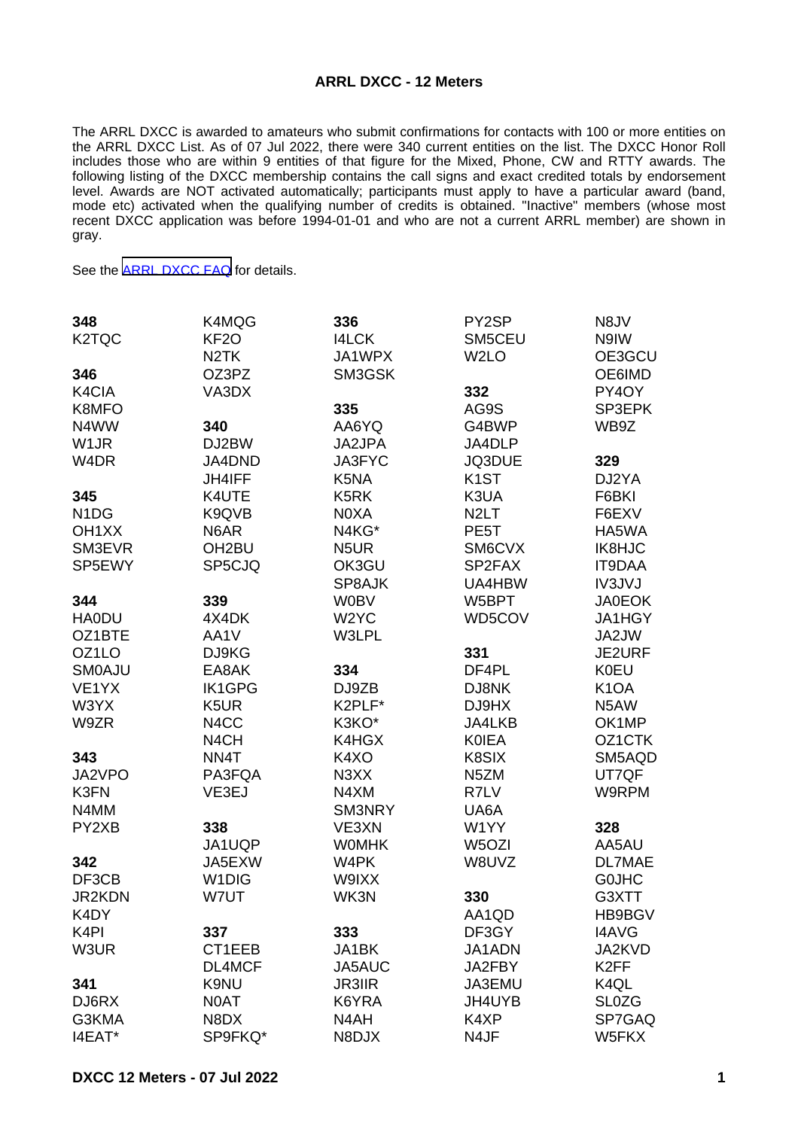## **ARRL DXCC - 12 Meters**

The ARRL DXCC is awarded to amateurs who submit confirmations for contacts with 100 or more entities on the ARRL DXCC List. As of 07 Jul 2022, there were 340 current entities on the list. The DXCC Honor Roll includes those who are within 9 entities of that figure for the Mixed, Phone, CW and RTTY awards. The following listing of the DXCC membership contains the call signs and exact credited totals by endorsement level. Awards are NOT activated automatically; participants must apply to have a particular award (band, mode etc) activated when the qualifying number of credits is obtained. "Inactive" members (whose most recent DXCC application was before 1994-01-01 and who are not a current ARRL member) are shown in gray.

See the [ARRL DXCC FAQ](http://www.arrl.org/dxcc-faq/) for details.

| 348<br>K <sub>2</sub> TQC     | K4MQG<br>KF <sub>20</sub><br>N <sub>2</sub> TK | 336<br><b>I4LCK</b><br>JA1WPX | PY2SP<br>SM5CEU<br>W <sub>2</sub> LO | N8JV<br>N9IW<br>OE3GCU |
|-------------------------------|------------------------------------------------|-------------------------------|--------------------------------------|------------------------|
| 346                           | OZ3PZ                                          | SM3GSK                        |                                      | OE6IMD                 |
| K4CIA                         | VA3DX                                          |                               | 332                                  | PY4OY                  |
| K8MFO                         |                                                | 335                           | AG9S                                 | SP3EPK                 |
| N4WW                          | 340                                            | AA6YQ                         | G4BWP                                | WB9Z                   |
| W <sub>1</sub> JR             | DJ2BW                                          | JA2JPA                        | JA4DLP                               |                        |
| W <sub>4</sub> DR             | JA4DND                                         | JA3FYC                        | JQ3DUE                               | 329                    |
|                               | <b>JH4IFF</b>                                  | K <sub>5</sub> N <sub>A</sub> | K <sub>1</sub> ST                    | DJ2YA                  |
| 345                           | K4UTE                                          | K <sub>5</sub> RK             | K3UA                                 | F6BKI                  |
| N <sub>1</sub> D <sub>G</sub> | K9QVB                                          | N0XA                          | N <sub>2</sub> LT                    | F6EXV                  |
| OH <sub>1</sub> XX            | N6AR                                           | N4KG*                         | PE <sub>5</sub> T                    | HA5WA                  |
| SM3EVR                        | OH <sub>2</sub> BU                             | N <sub>5</sub> UR             | SM6CVX                               | IK8HJC                 |
| SP5EWY                        | SP5CJQ                                         | OK3GU                         | SP2FAX                               | <b>IT9DAA</b>          |
|                               |                                                | SP8AJK                        | UA4HBW                               | IV3JVJ                 |
| 344                           | 339                                            | <b>W0BV</b>                   | W5BPT                                | <b>JA0EOK</b>          |
| <b>HA0DU</b>                  | 4X4DK                                          | W <sub>2</sub> YC             | WD5COV                               | JA1HGY                 |
| OZ1BTE                        | AA1V                                           | W3LPL                         |                                      | JA2JW                  |
| OZ <sub>1</sub> LO            | DJ9KG                                          |                               | 331                                  | JE2URF                 |
| <b>SMOAJU</b>                 | EA8AK                                          | 334                           | DF4PL                                | <b>K0EU</b>            |
| VE1YX                         | <b>IK1GPG</b>                                  | DJ9ZB                         | DJ8NK                                | K <sub>1</sub> OA      |
| W3YX                          | K <sub>5</sub> UR                              | K2PLF*                        | DJ9HX                                | N5AW                   |
| W9ZR                          | N4CC                                           | K3KO*                         | JA4LKB                               | OK1MP                  |
|                               | N <sub>4</sub> CH                              | K4HGX                         | <b>KOIEA</b>                         | OZ1CTK                 |
| 343                           | NN4T                                           | K4XO                          | K8SIX                                | SM5AQD                 |
| JA2VPO                        | PA3FQA                                         | N <sub>3</sub> XX             | N <sub>5</sub> ZM                    | UT7QF                  |
| K3FN                          | VE3EJ                                          | N4XM                          | R7LV                                 | W9RPM                  |
| N4MM                          |                                                | SM3NRY                        | UA6A                                 |                        |
| PY2XB                         | 338                                            | VE3XN                         | W1YY                                 | 328                    |
|                               | JA1UQP                                         | <b>WOMHK</b>                  | W <sub>5</sub> OZI                   | AA5AU                  |
| 342                           | JA5EXW                                         | W4PK                          | W8UVZ                                | <b>DL7MAE</b>          |
| DF3CB                         | W <sub>1</sub> DIG                             | W9IXX                         |                                      | <b>GOJHC</b>           |
| JR2KDN                        | W7UT                                           | WK3N                          | 330                                  | G3XTT                  |
| K4DY                          |                                                |                               | AA1QD                                | HB9BGV                 |
| K <sub>4</sub> PI             | 337                                            | 333                           | DF3GY                                | <b>I4AVG</b>           |
| W3UR                          | CT1EEB                                         | JA1BK                         | JA1ADN                               | JA2KVD                 |
|                               | DL4MCF                                         | JA5AUC                        | JA2FBY                               | K <sub>2</sub> FF      |
| 341                           | K9NU                                           | <b>JR3IIR</b>                 | JA3EMU                               | K <sub>4QL</sub>       |
| DJ6RX                         | N0AT                                           | K6YRA                         | JH4UYB                               | <b>SL0ZG</b>           |
| G3KMA                         | N8DX                                           | N4AH                          | K4XP                                 | SP7GAQ                 |
| I4EAT*                        | SP9FKQ*                                        | N8DJX                         | N4JF                                 | W5FKX                  |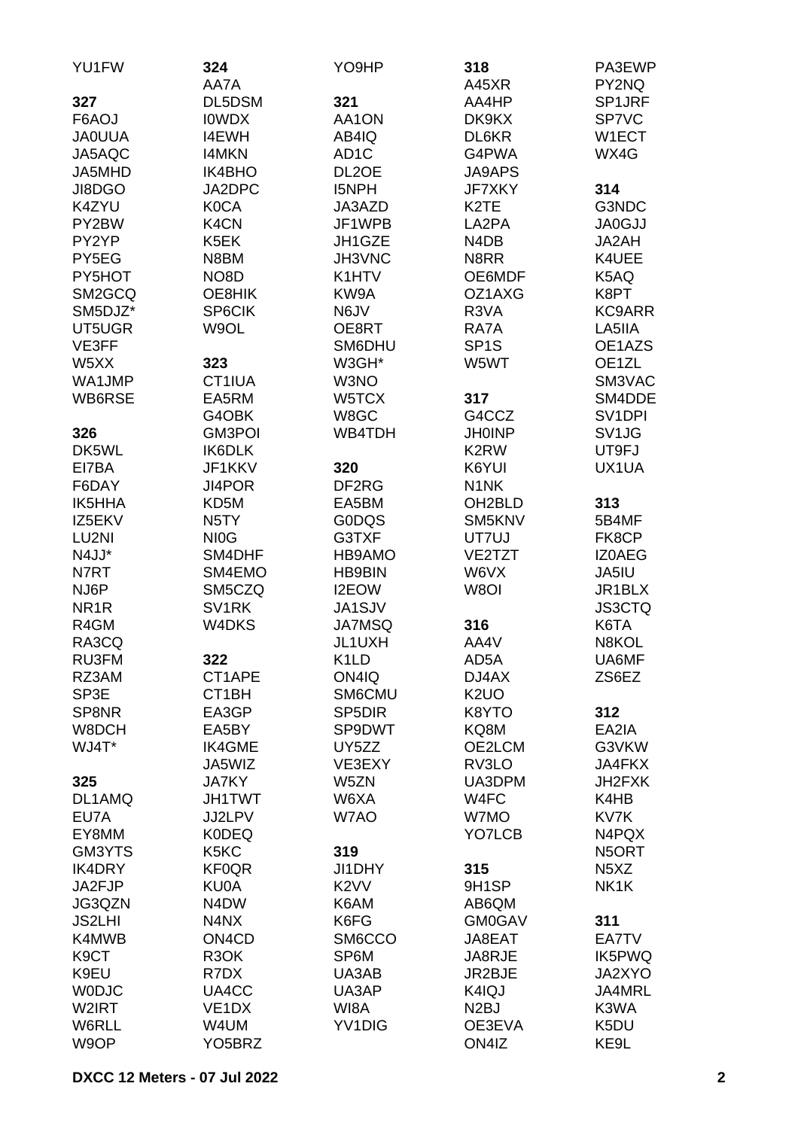| YU1FW             | 324<br>AA7A                    | YO9HP               | 318<br>A45XR                  | PA3EWP<br>PY2NQ               |
|-------------------|--------------------------------|---------------------|-------------------------------|-------------------------------|
|                   |                                |                     |                               |                               |
| 327               | DL5DSM                         | 321                 | AA4HP                         | SP1JRF                        |
| F6AOJ             | <b>IOWDX</b>                   | AA1ON               | DK9KX                         | SP7VC                         |
| <b>JA0UUA</b>     | <b>I4EWH</b>                   | AB4IQ               | DL6KR                         | W1ECT                         |
| JA5AQC            | <b>I4MKN</b>                   | AD <sub>1</sub> C   | G4PWA                         | WX4G                          |
| JA5MHD            | IK4BHO                         | DL <sub>2</sub> OE  | <b>JA9APS</b>                 |                               |
| JI8DGO            | JA2DPC                         | <b>I5NPH</b>        | <b>JF7XKY</b>                 | 314                           |
| K4ZYU             | <b>K0CA</b>                    | JA3AZD              | K <sub>2</sub> TE             | G3NDC                         |
| PY2BW             | K4CN                           | JF1WPB              | LA2PA                         | <b>JA0GJJ</b>                 |
| PY2YP             | K5EK                           | JH1GZE              | N <sub>4</sub> D <sub>B</sub> | JA2AH                         |
| PY5EG             | N8BM                           | JH3VNC              | N8RR                          | K4UEE                         |
| PY5HOT            | NO <sub>8</sub> D              | K1HTV               | OE6MDF                        | K5AQ                          |
| SM2GCQ            | OE8HIK                         | KW9A                | OZ1AXG                        | K8PT                          |
| SM5DJZ*           | SP6CIK                         | N6JV                | R3VA                          | <b>KC9ARR</b>                 |
| UT5UGR            | W9OL                           | OE8RT               | RA7A                          | LA5IIA                        |
| VE3FF             |                                | SM6DHU              | SP <sub>1</sub> S             | OE1AZS                        |
| W5XX              | 323                            | W3GH*               | W5WT                          | OE1ZL                         |
|                   |                                |                     |                               |                               |
| WA1JMP            | CT1IUA                         | W3NO                |                               | SM3VAC                        |
| WB6RSE            | EA5RM                          | W5TCX               | 317                           | SM4DDE                        |
|                   | G4OBK                          | W8GC                | G4CCZ                         | SV <sub>1</sub> DPI           |
| 326               | GM3POI                         | WB4TDH              | <b>JH0INP</b>                 | SV <sub>1JG</sub>             |
| DK5WL             | IK6DLK                         |                     | K <sub>2</sub> RW             | UT9FJ                         |
| EI7BA             | JF1KKV                         | 320                 | K6YUI                         | UX1UA                         |
| F6DAY             | JI4POR                         | DF <sub>2</sub> RG  | N <sub>1</sub> NK             |                               |
| <b>IK5HHA</b>     | KD5M                           | EA5BM               | OH <sub>2</sub> BLD           | 313                           |
| IZ5EKV            | N <sub>5</sub> TY              | <b>GODQS</b>        | SM5KNV                        | 5B4MF                         |
| LU2NI             | NI <sub>O</sub> G              | G3TXF               | UT7UJ                         | FK8CP                         |
| N4JJ*             | SM4DHF                         | HB9AMO              | VE2TZT                        | <b>IZOAEG</b>                 |
| N7RT              | SM4EMO                         | <b>HB9BIN</b>       | W6VX                          | JA5IU                         |
| NJ6P              | SM5CZQ                         | I2EOW               | W8OI                          | JR1BLX                        |
| NR <sub>1</sub> R | SV <sub>1</sub> RK             | <b>JA1SJV</b>       |                               | <b>JS3CTQ</b>                 |
| R4GM              | W4DKS                          | <b>JA7MSQ</b>       | 316                           | K6TA                          |
| RA3CQ             |                                | JL1UXH              | AA4V                          | N8KOL                         |
| RU3FM             | 322                            | K <sub>1</sub> LD   | AD5A                          | UA6MF                         |
|                   |                                |                     |                               |                               |
| RZ3AM             | CT1APE                         | ON4IQ               | DJ4AX                         | ZS6EZ                         |
| SP3E              | CT1BH                          | SM6CMU              | K <sub>2</sub> UO             |                               |
| SP8NR             | EA3GP                          | SP <sub>5</sub> DIR | K8YTO                         | 312                           |
| W8DCH             | EA5BY                          | SP9DWT              | KQ8M                          | EA2IA                         |
| WJ4T*             | <b>IK4GME</b>                  | UY5ZZ               | OE2LCM                        | G3VKW                         |
|                   | JA5WIZ                         | VE3EXY              | RV3LO                         | <b>JA4FKX</b>                 |
| 325               | <b>JA7KY</b>                   | W5ZN                | UA3DPM                        | JH2FXK                        |
| DL1AMQ            | <b>JH1TWT</b>                  | W6XA                | W4FC                          | K4HB                          |
| EU7A              | JJ2LPV                         | W7AO                | W7MO                          | KV7K                          |
| EY8MM             | <b>K0DEQ</b>                   |                     | YO7LCB                        | N4PQX                         |
| GM3YTS            | K5KC                           | 319                 |                               | N5ORT                         |
| <b>IK4DRY</b>     | <b>KF0QR</b>                   | JI1DHY              | 315                           | N <sub>5</sub> X <sub>Z</sub> |
| JA2FJP            | KU0A                           | K <sub>2</sub> VV   | 9H <sub>1</sub> SP            | NK1K                          |
| JG3QZN            | N4DW                           | K6AM                | AB6QM                         |                               |
| <b>JS2LHI</b>     | N4NX                           | K6FG                | <b>GM0GAV</b>                 | 311                           |
| K4MWB             | ON <sub>4</sub> C <sub>D</sub> | SM6CCO              | JA8EAT                        | EA7TV                         |
| K <sub>9</sub> CT | R <sub>3</sub> OK              | SP6M                | JA8RJE                        | IK5PWQ                        |
| K9EU              | R7DX                           | UA3AB               | JR2BJE                        | JA2XYO                        |
| <b>WODJC</b>      | UA4CC                          | UA3AP               | K4IQJ                         | JA4MRL                        |
| W2IRT             | VE <sub>1</sub> DX             | WI8A                | N <sub>2</sub> BJ             | K3WA                          |
| W6RLL             | W4UM                           | YV1DIG              | OE3EVA                        | K5DU                          |
| W9OP              | YO <sub>5</sub> BRZ            |                     | ON4IZ                         | KE9L                          |
|                   |                                |                     |                               |                               |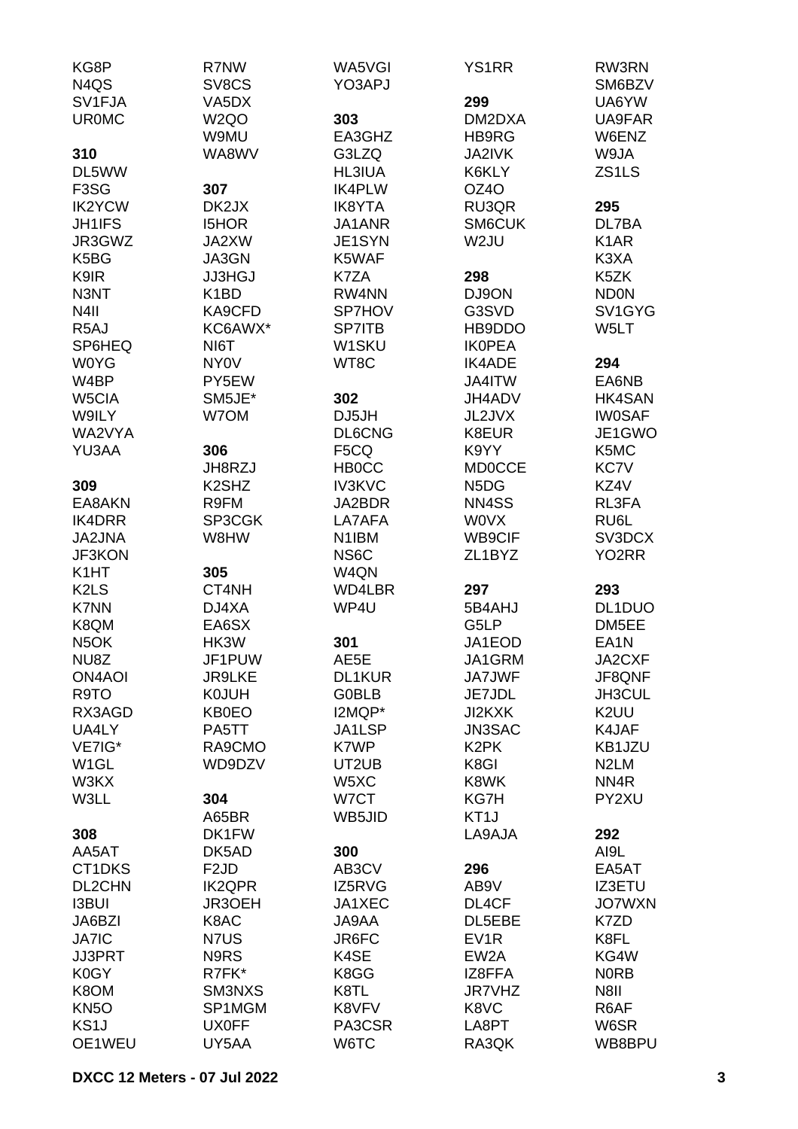| KG8P                          | R7NW                           | WA5VGI             | <b>YS1RR</b>                  | RW3RN              |
|-------------------------------|--------------------------------|--------------------|-------------------------------|--------------------|
| N <sub>4</sub> Q <sub>S</sub> | SV8CS                          | YO3APJ             |                               | SM6BZV             |
| SV <sub>1FJA</sub>            | VA <sub>5</sub> DX             |                    | 299                           | UA6YW              |
| <b>UR0MC</b>                  | W <sub>2</sub> QO              | 303                | DM2DXA                        | UA9FAR             |
|                               | W9MU                           | EA3GHZ             | HB9RG                         | W6ENZ              |
| 310                           | WA8WV                          | G3LZQ              | <b>JA2IVK</b>                 | W9JA               |
| DL5WW                         |                                | <b>HL3IUA</b>      | K6KLY                         | ZS1LS              |
| F <sub>3</sub> S <sub>G</sub> | 307                            | <b>IK4PLW</b>      | OZ4O                          |                    |
| <b>IK2YCW</b>                 | DK2JX                          | <b>IK8YTA</b>      | RU3QR                         | 295                |
| <b>JH1IFS</b>                 | <b>I5HOR</b>                   | JA1ANR             | SM6CUK                        | DL7BA              |
| JR3GWZ                        | JA2XW                          | JE1SYN             | W2JU                          | K <sub>1</sub> AR  |
| K <sub>5</sub> B <sub>G</sub> | JA3GN                          | K5WAF              |                               | K3XA               |
| K9IR                          | <b>JJ3HGJ</b>                  | K7ZA               | 298                           | K5ZK               |
| N3NT                          | K <sub>1</sub> BD              | RW4NN              | DJ9ON                         | <b>ND0N</b>        |
| N <sub>4</sub> II             | KA9CFD                         | <b>SP7HOV</b>      | G3SVD                         | SV1GYG             |
| R <sub>5</sub> AJ             | KC6AWX*                        | <b>SP7ITB</b>      | HB9DDO                        | W5LT               |
| SP6HEQ                        | NI6T                           | W1SKU              | <b>IKOPEA</b>                 |                    |
| <b>W0YG</b>                   | <b>NY0V</b>                    | WT8C               | <b>IK4ADE</b>                 | 294                |
| W4BP                          | PY5EW                          |                    | JA4ITW                        | EA6NB              |
| W5CIA                         | SM5JE*                         | 302                | JH4ADV                        | HK4SAN             |
| W9ILY                         | W7OM                           | DJ5JH              | JL2JVX                        | <b>IW0SAF</b>      |
| WA2VYA                        |                                | <b>DL6CNG</b>      | K8EUR                         | JE1GWO             |
| YU3AA                         | 306                            | F5CQ               | K9YY                          | K5MC               |
|                               | JH8RZJ                         | <b>HBOCC</b>       | <b>MD0CCE</b>                 | KC7V               |
| 309                           | K <sub>2</sub> SH <sub>Z</sub> | <b>IV3KVC</b>      | N <sub>5</sub> D <sub>G</sub> | KZ4V               |
| EA8AKN                        | R9FM                           | JA2BDR             | NN4SS                         | RL3FA              |
| <b>IK4DRR</b>                 | SP3CGK                         | LA7AFA             | <b>WOVX</b>                   | RU6L               |
| JA2JNA                        | W8HW                           | N <sub>1</sub> IBM | <b>WB9CIF</b>                 | SV3DCX             |
| JF3KON                        |                                | NS6C               | ZL1BYZ                        | YO <sub>2</sub> RR |
| K <sub>1</sub> HT             | 305                            | W <sub>4QN</sub>   |                               |                    |
| K <sub>2</sub> L <sub>S</sub> | CT4NH                          | WD4LBR             | 297                           | 293                |
| K7NN                          | DJ4XA                          | WP4U               | 5B4AHJ                        | DL1DUO             |
| K8QM                          | EA6SX                          |                    | G5LP                          | DM5EE              |
| N <sub>5</sub> OK             | HK3W                           | 301                | JA1EOD                        | EA <sub>1</sub> N  |
| NU8Z                          | JF1PUW                         | AE5E               | JA1GRM                        | JA2CXF             |
| <b>ON4AOI</b>                 | <b>JR9LKE</b>                  | DL1KUR             | JA7JWF                        | JF8QNF             |
| R9TO                          | <b>K0JUH</b>                   | <b>G0BLB</b>       | JE7JDL                        | JH3CUL             |
| RX3AGD                        | <b>KB0EO</b>                   | I2MQP*             | JI2KXK                        | K2UU               |
| UA4LY                         | PA5TT                          | JA1LSP             | <b>JN3SAC</b>                 | K4JAF              |
| VE7IG*                        | RA9CMO                         | K7WP               | K <sub>2</sub> PK             | KB1JZU             |
| W <sub>1</sub> GL             | WD9DZV                         | UT2UB              | K8GI                          | N <sub>2</sub> LM  |
| W3KX                          |                                | W5XC               | K8WK                          | NN4R               |
| W3LL                          | 304                            | W7CT               | KG7H                          | PY2XU              |
|                               | A65BR                          | WB5JID             | KT <sub>1</sub> J             |                    |
| 308                           | DK1FW                          |                    | LA9AJA                        | 292                |
| AA5AT                         | DK5AD                          | 300                |                               | AI9L               |
| CT1DKS                        | F <sub>2</sub> JD              | AB3CV              | 296                           | EA5AT              |
| DL2CHN                        | <b>IK2QPR</b>                  | IZ5RVG             | AB9V                          | <b>IZ3ETU</b>      |
| <b>I3BUI</b>                  | JR3OEH                         | JA1XEC             | DL4CF                         | <b>JO7WXN</b>      |
| JA6BZI                        | K8AC                           | JA9AA              | DL5EBE                        | K7ZD               |
| <b>JA7IC</b>                  | N7US                           | JR6FC              | EV <sub>1</sub> R             | K8FL               |
| <b>JJ3PRT</b>                 | N9RS                           | K4SE               | EW <sub>2</sub> A             | KG4W               |
| K0GY                          | R7FK*                          | K8GG               | IZ8FFA                        | <b>NORB</b>        |
| K8OM                          | SM3NXS                         | K8TL               | <b>JR7VHZ</b>                 | N8II               |
| KN <sub>50</sub>              | SP1MGM                         | K8VFV              | K8VC                          | R6AF               |
| KS <sub>1</sub> J             | <b>UX0FF</b>                   | PA3CSR             | LA8PT                         | W6SR               |
| OE1WEU                        | UY5AA                          | W6TC               | RA3QK                         | WB8BPU             |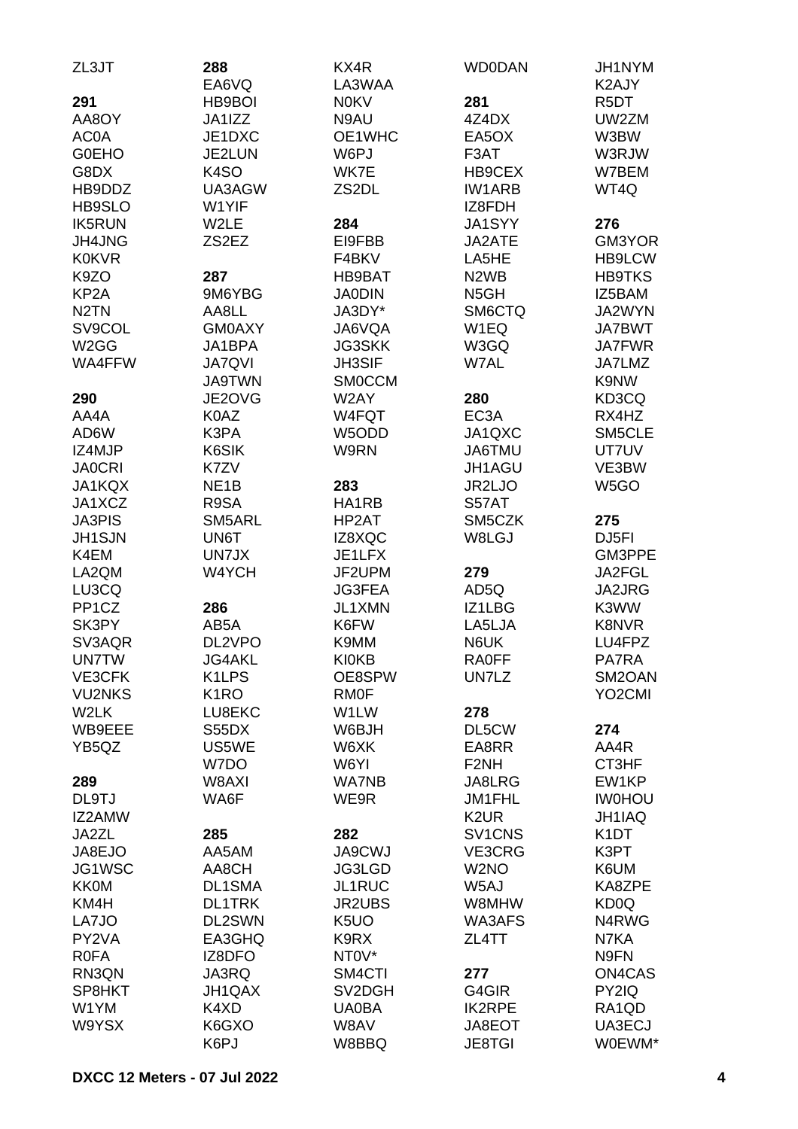| ZL3JT              | 288                | KX4R              | <b>WD0DAN</b>                   | JH1NYM              |
|--------------------|--------------------|-------------------|---------------------------------|---------------------|
|                    | EA6VQ              | LA3WAA            |                                 | K2AJY               |
| 291                | <b>HB9BOI</b>      | <b>N0KV</b>       | 281                             | R <sub>5</sub> DT   |
| AA8OY              | JA1IZZ             | N9AU              | 4Z4DX                           | UW2ZM               |
| AC0A               | JE1DXC             | OE1WHC            | EA5OX                           | W3BW                |
| <b>GOEHO</b>       | JE2LUN             | W6PJ              | F3AT                            | W3RJW               |
| G8DX               | K <sub>4</sub> SO  | WK7E              | HB9CEX                          | W7BEM               |
| HB9DDZ             | UA3AGW             | ZS2DL             | <b>IW1ARB</b>                   | WT4Q                |
| HB9SLO             | W1YIF              |                   | IZ8FDH                          |                     |
| <b>IK5RUN</b>      | W2LE               | 284               | <b>JA1SYY</b>                   | 276                 |
| JH4JNG             | ZS2EZ              | EI9FBB            | JA2ATE                          | GM3YOR              |
| <b>K0KVR</b>       |                    | F4BKV             | LA5HE                           | <b>HB9LCW</b>       |
| K9ZO               | 287                | HB9BAT            | N <sub>2</sub> W <sub>B</sub>   | <b>HB9TKS</b>       |
| KP <sub>2</sub> A  | 9M6YBG             | <b>JA0DIN</b>     | N <sub>5</sub> GH               | IZ5BAM              |
| N <sub>2</sub> TN  | AA8LL              | JA3DY*            | SM6CTQ                          | JA2WYN              |
| SV9COL             | <b>GM0AXY</b>      | JA6VQA            | W1EQ                            | <b>JA7BWT</b>       |
| W <sub>2</sub> GG  | JA1BPA             | <b>JG3SKK</b>     | W3GQ                            | <b>JA7FWR</b>       |
| WA4FFW             | <b>JA7QVI</b>      | <b>JH3SIF</b>     | W7AL                            | JA7LMZ              |
|                    | <b>JA9TWN</b>      | <b>SMOCCM</b>     |                                 | K9NW                |
| 290                | JE2OVG             | W2AY              | 280                             | KD3CQ               |
| AA4A               | K0AZ               | W4FQT             | EC <sub>3</sub> A               | RX4HZ               |
| AD6W               | K3PA               | W5ODD             | JA1QXC                          | SM5CLE              |
| IZ4MJP             | K6SIK              | W9RN              | JA6TMU                          | UT7UV               |
| <b>JA0CRI</b>      | K7ZV               |                   | JH1AGU                          | VE3BW               |
| JA1KQX             | NE <sub>1</sub> B  | 283               | <b>JR2LJO</b>                   | W <sub>5</sub> GO   |
| JA1XCZ             | R9SA               | HA1RB             | S57AT                           |                     |
| <b>JA3PIS</b>      | SM5ARL             | HP2AT             | SM5CZK                          | 275                 |
| <b>JH1SJN</b>      | UN6T               | IZ8XQC            | W8LGJ                           | DJ <sub>5FI</sub>   |
| K4EM               | UN7JX              | JE1LFX            |                                 | GM3PPE              |
| LA2QM              | W4YCH              | JF2UPM            | 279                             | JA2FGL              |
| LU3CQ              |                    | <b>JG3FEA</b>     | AD5Q                            | JA2JRG              |
| PP <sub>1</sub> CZ | 286                | JL1XMN            | IZ1LBG                          | K3WW                |
| SK3PY              | AB5A               | K6FW              | LA5LJA                          | K8NVR               |
| SV3AQR             | DL2VPO             | K9MM              | N6UK                            | LU4FPZ              |
| <b>UN7TW</b>       | JG4AKL             | <b>KI0KB</b>      | <b>RA0FF</b>                    | PA7RA               |
| VE3CFK             | K <sub>1</sub> LPS | OE8SPW            | UN7LZ                           | SM2OAN              |
| <b>VU2NKS</b>      | K <sub>1</sub> RO  | <b>RMOF</b>       |                                 | YO <sub>2</sub> CMI |
| W2LK               | LU8EKC             | W1LW              | 278                             |                     |
| WB9EEE             | S55DX              | W6BJH             | DL5CW                           | 274                 |
| YB5QZ              | US5WE              | W6XK              | EA8RR                           | AA4R                |
|                    | W7DO               | W6YI              | F <sub>2NH</sub>                | CT3HF               |
| 289                | W8AXI              | <b>WA7NB</b>      | JA8LRG                          | EW1KP               |
| DL9TJ              | WA6F               | WE9R              | JM1FHL                          | <b>IWOHOU</b>       |
| IZ2AMW             |                    |                   | K <sub>2</sub> UR               | JH1IAQ              |
| JA2ZL              | 285                | 282               | SV <sub>1</sub> CN <sub>S</sub> | K <sub>1</sub> DT   |
| JA8EJO             | AA5AM              | <b>JA9CWJ</b>     | VE3CRG                          | K3PT                |
| JG1WSC             | AA8CH              | JG3LGD            | W <sub>2</sub> NO               | K6UM                |
| <b>KK0M</b>        | <b>DL1SMA</b>      | JL1RUC            | W5AJ                            | KA8ZPE              |
| KM4H               | <b>DL1TRK</b>      | JR2UBS            | W8MHW                           | KD <sub>0</sub> Q   |
| LA7JO              | DL2SWN             | K <sub>5</sub> UO | WA3AFS                          | N4RWG               |
| PY2VA              | EA3GHQ             | K9RX              | ZL4TT                           | N7KA                |
| <b>ROFA</b>        | IZ8DFO             | NT0V*             |                                 | N9FN                |
| RN3QN              | JA3RQ              | SM4CTI            | 277                             | ON4CAS              |
| SP8HKT             | JH1QAX             | SV2DGH            | G4GIR                           | PY2IQ               |
| W1YM               | K4XD               | <b>UA0BA</b>      | <b>IK2RPE</b>                   | RA1QD               |
| W9YSX              | K6GXO              | W8AV              | JA8EOT                          | UA3ECJ              |
|                    | K6PJ               | W8BBQ             | <b>JE8TGI</b>                   | W0EWM*              |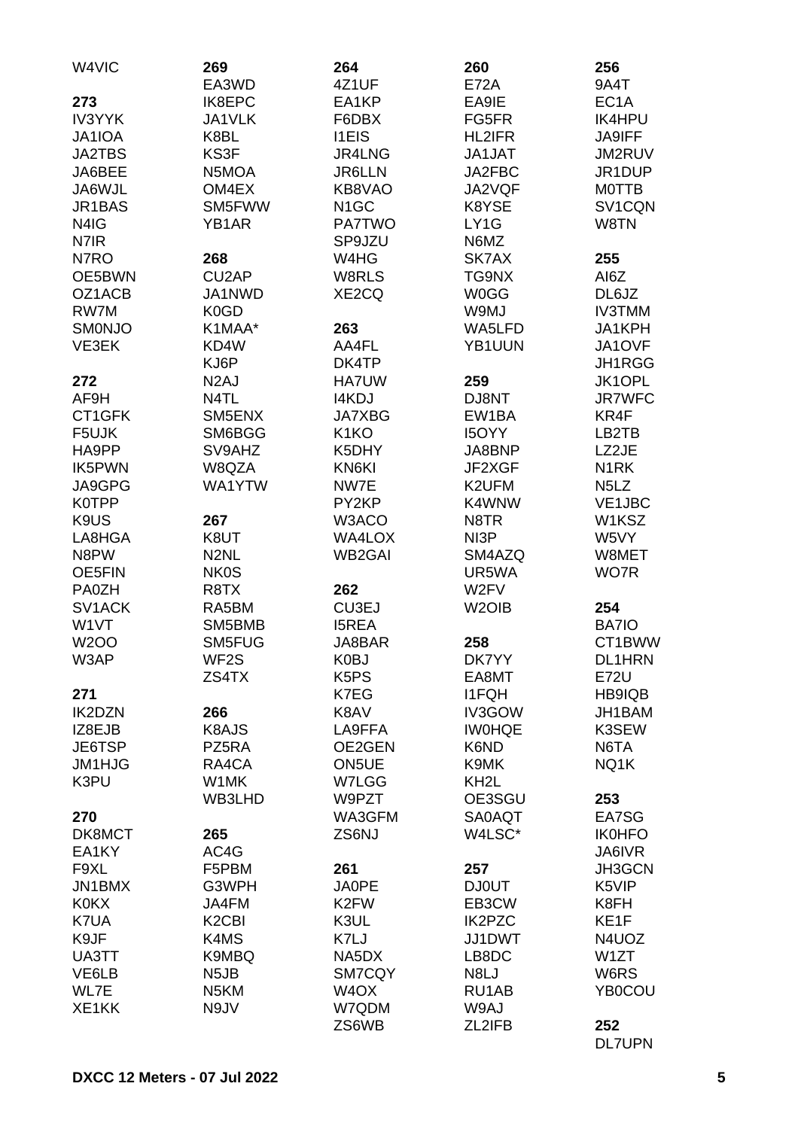| W4VIC               | 269<br>EA3WD                   | 264<br>4Z1UF      | 260<br><b>E72A</b> | 256<br>9A4T                   |
|---------------------|--------------------------------|-------------------|--------------------|-------------------------------|
| 273                 | IK8EPC                         | EA1KP             | EA9IE              | EC <sub>1</sub> A             |
| <b>IV3YYK</b>       | JA1VLK                         | F6DBX             | FG5FR              | <b>IK4HPU</b>                 |
| <b>JA1IOA</b>       | K8BL                           | <b>I1EIS</b>      | HL2IFR             | <b>JA9IFF</b>                 |
| <b>JA2TBS</b>       | KS3F                           | JR4LNG            | JA1JAT             | JM2RUV                        |
| JA6BEE              | N5MOA                          | <b>JR6LLN</b>     | JA2FBC             | JR1DUP                        |
| JA6WJL              | OM4EX                          | KB8VAO            | JA2VQF             | <b>MOTTB</b>                  |
| JR1BAS              | SM5FWW                         | N <sub>1</sub> GC | K8YSE              | SV1CQN                        |
| N4IG                | YB1AR                          | <b>PA7TWO</b>     | LY1G               | W8TN                          |
| N7IR                |                                | SP9JZU            | N6MZ               |                               |
| N7RO                | 268                            | W4HG              | SK7AX              | 255                           |
| OE5BWN              | CU <sub>2</sub> AP             | W8RLS             | TG9NX              | AI6Z                          |
| OZ1ACB              | JA1NWD                         | XE2CQ             | <b>W0GG</b>        | DL6JZ                         |
| RW7M                | K <sub>0</sub> GD              |                   | W9MJ               | <b>IV3TMM</b>                 |
| <b>SMONJO</b>       | K1MAA*                         | 263               | WA5LFD             | JA1KPH                        |
| VE3EK               | KD4W                           | AA4FL             | YB1UUN             | JA1OVF                        |
|                     | KJ6P                           | DK4TP             |                    | JH1RGG                        |
| 272                 | N <sub>2</sub> AJ              | <b>HA7UW</b>      | 259                | JK1OPL                        |
| AF9H                | N4TL                           | <b>I4KDJ</b>      | DJ8NT              | <b>JR7WFC</b>                 |
| CT1GFK              | SM5ENX                         | <b>JA7XBG</b>     | EW1BA              | KR4F                          |
| F5UJK               | SM6BGG                         | K <sub>1</sub> KO | <b>I5OYY</b>       | LB2TB                         |
| HA9PP<br>IK5PWN     | SV9AHZ<br>W8QZA                | K5DHY<br>KN6KI    | JA8BNP<br>JF2XGF   | LZ2JE<br>N <sub>1</sub> RK    |
| JA9GPG              | WA1YTW                         | NW7E              | K2UFM              | N <sub>5</sub> L <sub>Z</sub> |
| <b>K0TPP</b>        |                                | PY2KP             | K4WNW              | <b>VE1JBC</b>                 |
| K9US                | 267                            | W3ACO             | N8TR               | W1KSZ                         |
| LA8HGA              | K8UT                           | <b>WA4LOX</b>     | NI3P               | W5VY                          |
| N8PW                | N <sub>2</sub> NL              | <b>WB2GAI</b>     | SM4AZQ             | W8MET                         |
| <b>OE5FIN</b>       | <b>NK0S</b>                    |                   | UR5WA              | WO7R                          |
| <b>PA0ZH</b>        | R8TX                           | 262               | W2FV               |                               |
| SV <sub>1</sub> ACK | RA5BM                          | CU3EJ             | W <sub>2</sub> OIB | 254                           |
| W1VT                | SM5BMB                         | <b>I5REA</b>      |                    | BA7IO                         |
| <b>W2OO</b>         | SM5FUG                         | JA8BAR            | 258                | CT1BWW                        |
| W3AP                | WF2S                           | K0BJ              | DK7YY              | DL1HRN                        |
|                     | ZS4TX                          | K <sub>5</sub> PS | EA8MT              | <b>E72U</b>                   |
| 271                 |                                | K7EG              | <b>I1FQH</b>       | HB9IQB                        |
| <b>IK2DZN</b>       | 266                            | K8AV              | IV3GOW             | JH1BAM                        |
| IZ8EJB              | K8AJS                          | LA9FFA            | <b>IWOHQE</b>      | K3SEW                         |
| JE6TSP              | PZ5RA                          | OE2GEN            | K6ND               | N6TA                          |
| JM1HJG              | RA4CA                          | ON5UE             | K9MK               | NQ1K                          |
| K3PU                | W1MK                           | W7LGG<br>W9PZT    | KH <sub>2</sub> L  |                               |
| 270                 | WB3LHD                         | WA3GFM            | OE3SGU<br>SA0AQT   | 253<br>EA7SG                  |
| DK8MCT              | 265                            | ZS6NJ             | W4LSC*             | <b>IK0HFO</b>                 |
| EA1KY               | AC4G                           |                   |                    | JA6IVR                        |
| F9XL                | F5PBM                          | 261               | 257                | JH3GCN                        |
| JN1BMX              | G3WPH                          | <b>JA0PE</b>      | <b>DJ0UT</b>       | K5VIP                         |
| <b>K0KX</b>         | JA4FM                          | K <sub>2</sub> FW | EB3CW              | K8FH                          |
| K7UA                | K <sub>2</sub> C <sub>BI</sub> | K3UL              | <b>IK2PZC</b>      | KE1F                          |
| K9JF                | K4MS                           | K7LJ              | JJ1DWT             | N4UOZ                         |
| UA3TT               | K9MBQ                          | NA5DX             | LB8DC              | W1ZT                          |
| VE6LB               | N <sub>5</sub> JB              | SM7CQY            | N8LJ               | W6RS                          |
| WL7E                | N <sub>5</sub> KM              | W <sub>4</sub> OX | RU1AB              | YB0COU                        |
| XE1KK               | N9JV                           | W7QDM             | W9AJ               |                               |
|                     |                                | ZS6WB             | ZL2IFB             | 252                           |
|                     |                                |                   |                    | <b>DL7UPN</b>                 |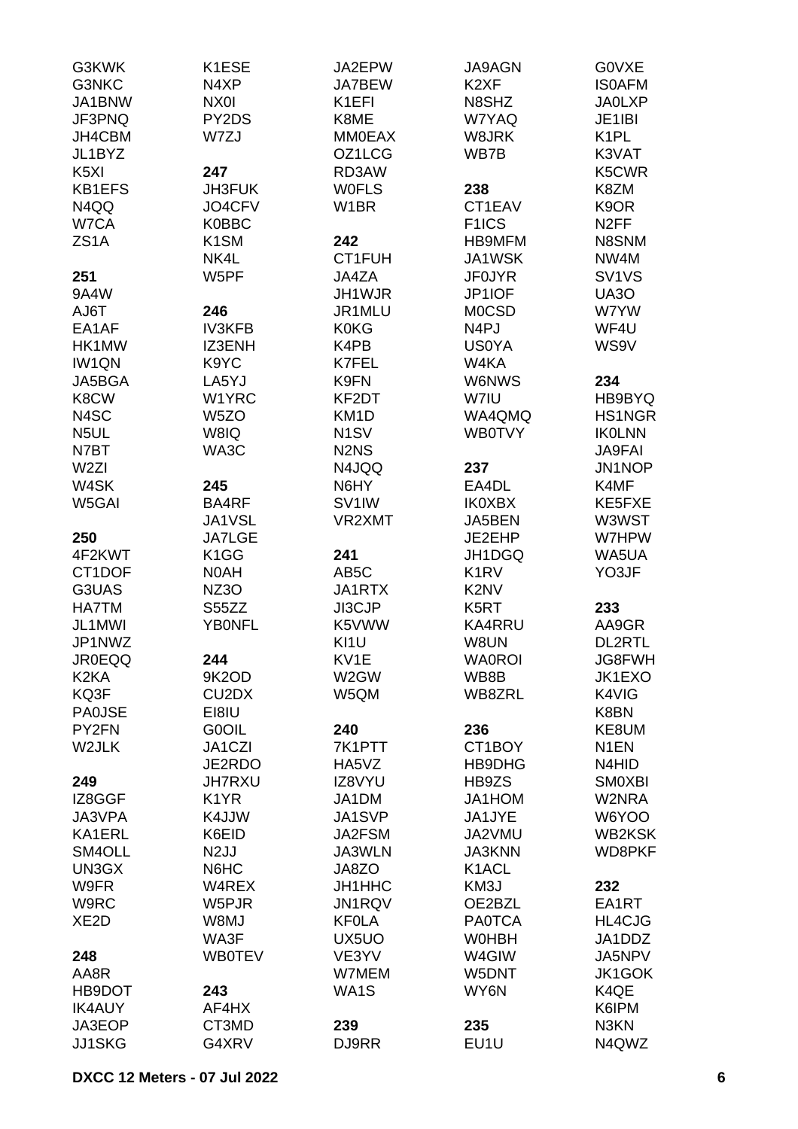| G3KWK             | K1ESE             | JA2EPW                        | <b>JA9AGN</b>                 | <b>GOVXE</b>                   |
|-------------------|-------------------|-------------------------------|-------------------------------|--------------------------------|
| G3NKC             | N4XP              | <b>JA7BEW</b>                 | K <sub>2</sub> XF             | <b>ISOAFM</b>                  |
| JA1BNW            | NX01              | K1EFI                         | N8SHZ                         | <b>JA0LXP</b>                  |
| JF3PNQ            | PY2DS             | K8ME                          | W7YAQ                         | JE1IBI                         |
|                   |                   |                               | W8JRK                         | K <sub>1</sub> PL              |
| JH4CBM            | W7ZJ              | <b>MM0EAX</b>                 |                               |                                |
| JL1BYZ            |                   | OZ1LCG                        | WB7B                          | K3VAT                          |
| K <sub>5</sub> XI | 247               | RD3AW                         |                               | K5CWR                          |
| <b>KB1EFS</b>     | <b>JH3FUK</b>     | <b>WOFLS</b>                  | 238                           | K8ZM                           |
| N4QQ              | JO4CFV            | W <sub>1</sub> BR             | CT1EAV                        | K <sub>9</sub> OR              |
| W7CA              | <b>K0BBC</b>      |                               | F <sub>1</sub> ICS            | N <sub>2</sub> FF              |
| ZS <sub>1</sub> A | K <sub>1</sub> SM | 242                           | <b>HB9MFM</b>                 | N8SNM                          |
|                   | NK4L              | CT1FUH                        | JA1WSK                        | NW4M                           |
| 251               | W5PF              | JA4ZA                         | <b>JF0JYR</b>                 | SV <sub>1</sub> V <sub>S</sub> |
| 9A4W              |                   | JH1WJR                        | JP1IOF                        | UA3O                           |
| AJ6T              | 246               | JR1MLU                        | <b>MOCSD</b>                  | W7YW                           |
| EA1AF             | <b>IV3KFB</b>     | <b>K0KG</b>                   | N <sub>4</sub> PJ             | WF4U                           |
| HK1MW             | IZ3ENH            | K4PB                          | <b>US0YA</b>                  | WS9V                           |
|                   |                   | K7FEL                         |                               |                                |
| <b>IW1QN</b>      | K9YC              |                               | W4KA                          |                                |
| JA5BGA            | LA5YJ             | K9FN                          | <b>W6NWS</b>                  | 234                            |
| K8CW              | W1YRC             | KF2DT                         | W7IU                          | HB9BYQ                         |
| N4SC              | W <sub>5</sub> ZO | KM1D                          | WA4QMQ                        | HS1NGR                         |
| N <sub>5</sub> UL | W8IQ              | N <sub>1</sub> SV             | <b>WB0TVY</b>                 | <b>IKOLNN</b>                  |
| N7BT              | WA3C              | N <sub>2</sub> N <sub>S</sub> |                               | <b>JA9FAI</b>                  |
| W <sub>2ZI</sub>  |                   | N4JQQ                         | 237                           | JN1NOP                         |
| W4SK              | 245               | N6HY                          | EA4DL                         | K4MF                           |
| W5GAI             | BA4RF             | SV <sub>1</sub> IW            | <b>IK0XBX</b>                 | KE5FXE                         |
|                   | JA1VSL            | VR2XMT                        | JA5BEN                        | W3WST                          |
| 250               | <b>JA7LGE</b>     |                               | JE2EHP                        | W7HPW                          |
| 4F2KWT            | K <sub>1</sub> GG | 241                           | JH1DGQ                        | WA5UA                          |
|                   |                   |                               |                               | YO3JF                          |
| CT1DOF            | N0AH              | AB <sub>5</sub> C             | K <sub>1</sub> RV             |                                |
| G3UAS             | NZ3O              | JA1RTX                        | K <sub>2</sub> N <sub>V</sub> |                                |
| <b>HA7TM</b>      | S55ZZ             | JI3CJP                        | K5RT                          | 233                            |
| JL1MWI            | <b>YBONFL</b>     | K5VWW                         | <b>KA4RRU</b>                 | AA9GR                          |
| JP1NWZ            |                   | KI <sub>1U</sub>              | W8UN                          | <b>DL2RTL</b>                  |
| <b>JR0EQQ</b>     | 244               | KV1E                          | <b>WA0ROI</b>                 | JG8FWH                         |
| K <sub>2</sub> KA | 9K2OD             | W2GW                          | WB8B                          | JK1EXO                         |
| KQ3F              | CU2DX             | W5QM                          | WB8ZRL                        | K4VIG                          |
| <b>PA0JSE</b>     | EI8IU             |                               |                               | K8BN                           |
| PY2FN             | <b>GOOIL</b>      | 240                           | 236                           | KE8UM                          |
| W2JLK             | JA1CZI            | 7K1PTT                        | CT1BOY                        | N <sub>1</sub> EN              |
|                   | JE2RDO            | HA5VZ                         | HB9DHG                        | N4HID                          |
| 249               | <b>JH7RXU</b>     | IZ8VYU                        | HB9ZS                         | <b>SMOXBI</b>                  |
| IZ8GGF            | K <sub>1</sub> YR | JA1DM                         | JA1HOM                        | W2NRA                          |
| JA3VPA            | K4JJW             | JA1SVP                        | JA1JYE                        | W6YOO                          |
|                   | K6EID             |                               |                               | <b>WB2KSK</b>                  |
| KA1ERL            |                   | JA2FSM                        | JA2VMU                        |                                |
| SM4OLL            | N <sub>2</sub> JJ | JA3WLN                        | <b>JA3KNN</b>                 | WD8PKF                         |
| UN3GX             | N6HC              | JA8ZO                         | K1ACL                         |                                |
| W9FR              | W4REX             | JH1HHC                        | KM3J                          | 232                            |
| W9RC              | W5PJR             | JN1RQV                        | OE2BZL                        | EA1RT                          |
| XE <sub>2</sub> D | W8MJ              | <b>KFOLA</b>                  | <b>PA0TCA</b>                 | HL4CJG                         |
|                   | WA3F              | UX5UO                         | <b>WOHBH</b>                  | JA1DDZ                         |
| 248               | <b>WB0TEV</b>     | VE3YV                         | W4GIW                         | JA5NPV                         |
| AA8R              |                   | W7MEM                         | W5DNT                         | JK1GOK                         |
| HB9DOT            | 243               | WA1S                          | WY6N                          | K4QE                           |
| <b>IK4AUY</b>     | AF4HX             |                               |                               | K6IPM                          |
| JA3EOP            | CT3MD             | 239                           | 235                           | N3KN                           |
| JJ1SKG            | G4XRV             | DJ9RR                         | EU1U                          | N4QWZ                          |
|                   |                   |                               |                               |                                |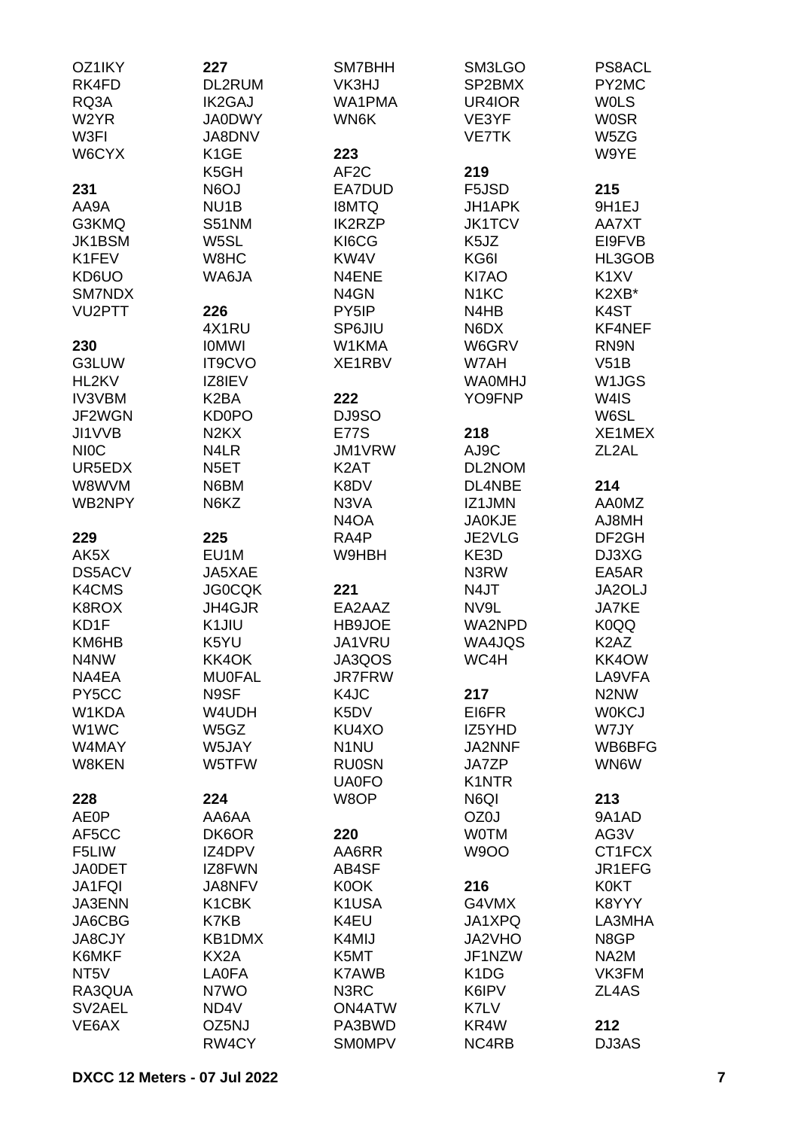| OZ1IKY              | 227                           | SM7BHH                        | SM3LGO                        | <b>PS8ACL</b>                 |
|---------------------|-------------------------------|-------------------------------|-------------------------------|-------------------------------|
| RK4FD               | DL2RUM                        | VK3HJ                         | SP2BMX                        | PY2MC                         |
| RQ3A                | <b>IK2GAJ</b>                 | WA1PMA                        | UR4IOR                        | <b>WOLS</b>                   |
| W <sub>2</sub> YR   | <b>JA0DWY</b>                 | WN6K                          | VE3YF                         | <b>WOSR</b>                   |
|                     |                               |                               |                               |                               |
| W3FI                | JA8DNV                        |                               | <b>VE7TK</b>                  | W5ZG                          |
| W6CYX               | K <sub>1</sub> GE             | 223                           |                               | W9YE                          |
|                     | K5GH                          | AF <sub>2</sub> C             | 219                           |                               |
| 231                 | N6OJ                          | EA7DUD                        | F5JSD                         | 215                           |
| AA9A                | NU <sub>1</sub> B             | <b>I8MTQ</b>                  | JH1APK                        | 9H1EJ                         |
| G3KMQ               | <b>S51NM</b>                  | <b>IK2RZP</b>                 | <b>JK1TCV</b>                 | AA7XT                         |
| JK1BSM              | W5SL                          | KI6CG                         | K <sub>5</sub> JZ             | EI9FVB                        |
| K1FEV               | W8HC                          | KW4V                          | KG6I                          | HL3GOB                        |
|                     |                               |                               |                               |                               |
| KD6UO               | WA6JA                         | N4ENE                         | KI7AO                         | K <sub>1</sub> XV             |
| SM7NDX              |                               | N4GN                          | N <sub>1</sub> KC             | K2XB*                         |
| VU <sub>2</sub> PTT | 226                           | PY5IP                         | N4HB                          | K4ST                          |
|                     | 4X1RU                         | SP6JIU                        | N6DX                          | KF4NEF                        |
| 230                 | <b>IOMWI</b>                  | W1KMA                         | W6GRV                         | RN9N                          |
| G3LUW               | <b>IT9CVO</b>                 | XE1RBV                        | W7AH                          | V51B                          |
| HL2KV               | IZ8IEV                        |                               | <b>WA0MHJ</b>                 | W <sub>1</sub> JGS            |
| <b>IV3VBM</b>       | K <sub>2</sub> BA             | 222                           | YO9FNP                        | W4IS                          |
|                     |                               |                               |                               |                               |
| JF2WGN              | <b>KD0PO</b>                  | DJ9SO                         |                               | W6SL                          |
| JI1VVB              | N <sub>2</sub> K <sub>X</sub> | <b>E77S</b>                   | 218                           | XE1MEX                        |
| <b>NIOC</b>         | N4LR                          | JM1VRW                        | AJ9C                          | ZL <sub>2</sub> AL            |
| UR5EDX              | N <sub>5</sub> ET             | K <sub>2</sub> AT             | DL2NOM                        |                               |
| W8WVM               | N6BM                          | K8DV                          | DL4NBE                        | 214                           |
| WB2NPY              | N6KZ                          | N3VA                          | IZ1JMN                        | <b>AA0MZ</b>                  |
|                     |                               | N <sub>4</sub> O <sub>A</sub> | <b>JA0KJE</b>                 | <b>AJ8MH</b>                  |
| 229                 | 225                           | RA4P                          | JE2VLG                        | DF <sub>2GH</sub>             |
| AK5X                | EU1M                          | W9HBH                         |                               |                               |
|                     |                               |                               | KE3D                          | DJ3XG                         |
| DS5ACV              | JA5XAE                        |                               | N3RW                          | EA5AR                         |
| K4CMS               | <b>JG0CQK</b>                 | 221                           | N4JT                          | JA2OLJ                        |
| K8ROX               | JH4GJR                        | EA2AAZ                        | NV9L                          | JA7KE                         |
| KD1F                | K <sub>1</sub> JIU            | HB9JOE                        | WA2NPD                        | K0QQ                          |
| KM6HB               | K5YU                          | JA1VRU                        | WA4JQS                        | K <sub>2</sub> A <sub>Z</sub> |
| N4NW                | KK4OK                         | JA3QOS                        | WC4H                          | KK4OW                         |
| NA4EA               | <b>MU0FAL</b>                 | <b>JR7FRW</b>                 |                               | LA9VFA                        |
| PY5CC               | N9SF                          | K4JC                          | 217                           | N <sub>2</sub> N <sub>W</sub> |
| W1KDA               | W4UDH                         |                               |                               |                               |
|                     |                               | K5DV                          | EI6FR                         | <b>WOKCJ</b>                  |
| W1WC                | W5GZ                          | KU4XO                         | IZ5YHD                        | W7JY                          |
| W4MAY               | W5JAY                         | N <sub>1</sub> NU             | <b>JA2NNF</b>                 | WB6BFG                        |
| W8KEN               | W5TFW                         | <b>RU0SN</b>                  | JA7ZP                         | WN6W                          |
|                     |                               | <b>UA0FO</b>                  | K1NTR                         |                               |
| 228                 | 224                           | W8OP                          | N6QI                          | 213                           |
| <b>AE0P</b>         | AA6AA                         |                               | OZ0J                          | 9A1AD                         |
| AF5CC               | DK6OR                         | 220                           | <b>WOTM</b>                   | AG3V                          |
| F5LIW               | IZ4DPV                        | AA6RR                         | <b>W9OO</b>                   | CT1FCX                        |
|                     | IZ8FWN                        |                               |                               | JR1EFG                        |
| <b>JA0DET</b>       |                               | AB4SF                         |                               |                               |
| JA1FQI              | JA8NFV                        | K0OK                          | 216                           | <b>K0KT</b>                   |
| <b>JA3ENN</b>       | K <sub>1</sub> CBK            | K1USA                         | G4VMX                         | K8YYY                         |
| JA6CBG              | K7KB                          | K4EU                          | JA1XPQ                        | LA3MHA                        |
| <b>JA8CJY</b>       | KB1DMX                        | K4MIJ                         | JA2VHO                        | N8GP                          |
| K6MKF               | KX <sub>2</sub> A             | K5MT                          | JF1NZW                        | NA <sub>2</sub> M             |
| NT <sub>5</sub> V   | <b>LA0FA</b>                  | K7AWB                         | K <sub>1</sub> D <sub>G</sub> | VK3FM                         |
| RA3QUA              | N7WO                          | N3RC                          | K6IPV                         | ZL4AS                         |
| SV2AEL              | ND4V                          | <b>ON4ATW</b>                 | K7LV                          |                               |
|                     |                               |                               |                               |                               |
| VE6AX               | OZ5NJ                         | PA3BWD                        | KR4W                          | 212                           |
|                     | RW4CY                         | <b>SMOMPV</b>                 | NC4RB                         | DJ3AS                         |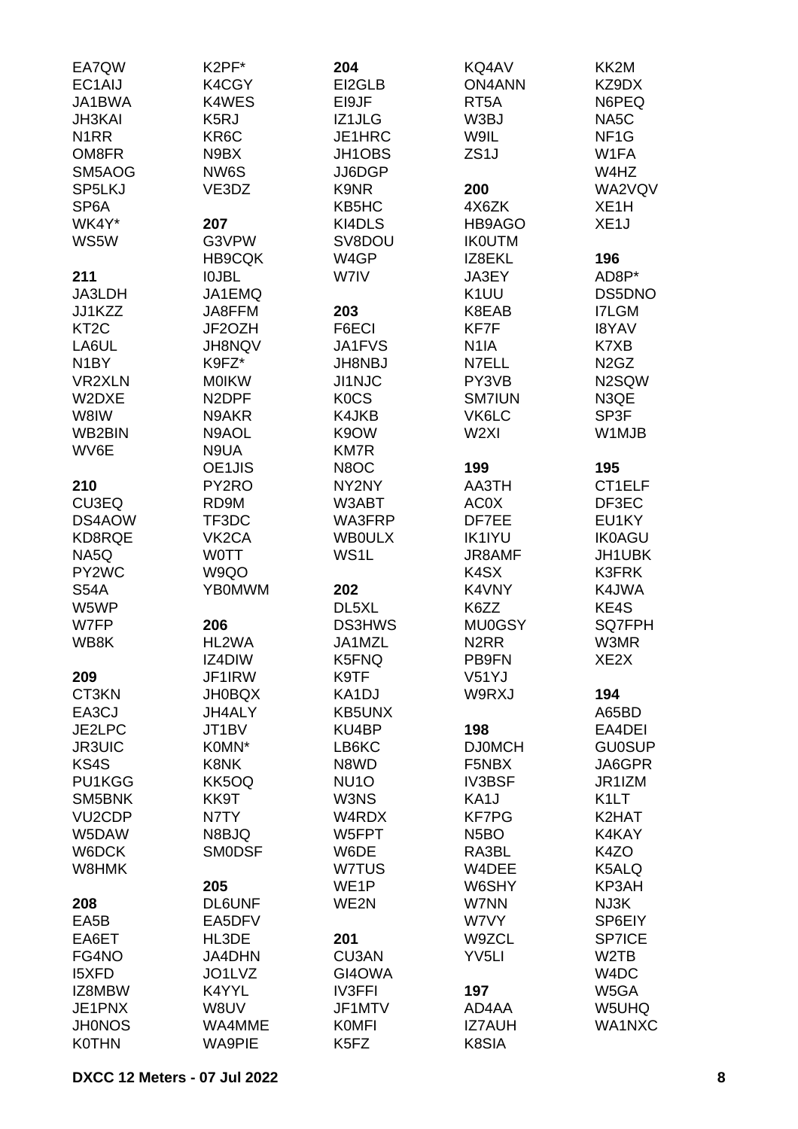| EA7QW               | K2PF*              | 204               | KQ4AV                         | KK2M                          |
|---------------------|--------------------|-------------------|-------------------------------|-------------------------------|
| EC1AIJ              | K4CGY              | EI2GLB            | <b>ON4ANN</b>                 | KZ9DX                         |
| JA1BWA              | K4WES              | EI9JF             | RT <sub>5</sub> A             | N6PEQ                         |
| <b>JH3KAI</b>       | K <sub>5</sub> RJ  | IZ1JLG            | W3BJ                          | NA <sub>5</sub> C             |
| N <sub>1</sub> RR   | KR6C               | JE1HRC            | W9IL                          | NF <sub>1</sub> G             |
| OM8FR               | N9BX               | JH1OBS            | ZS <sub>1</sub> J             | W1FA                          |
| SM5AOG              | NW6S               | JJ6DGP            |                               | W4HZ                          |
| SP5LKJ              | VE3DZ              | K9NR              | 200                           | WA2VQV                        |
| SP <sub>6</sub> A   |                    | KB5HC             | 4X6ZK                         | XE <sub>1</sub> H             |
| WK4Y*               | 207                | KI4DLS            | HB9AGO                        | XE <sub>1</sub> J             |
| WS5W                | G3VPW              | SV8DOU            | <b>IKOUTM</b>                 |                               |
|                     | <b>HB9CQK</b>      | W4GP              | IZ8EKL                        | 196                           |
|                     |                    |                   |                               |                               |
| 211                 | <b>IOJBL</b>       | W7IV              | JA3EY                         | AD8P*                         |
| JA3LDH              | JA1EMQ             |                   | K <sub>1</sub> UU             | DS5DNO                        |
| JJ1KZZ              | JA8FFM             | 203               | K8EAB                         | <b>I7LGM</b>                  |
| KT <sub>2</sub> C   | JF2OZH             | F6ECI             | KF7F                          | <b>I8YAV</b>                  |
| LA6UL               | <b>JH8NQV</b>      | JA1FVS            | N <sub>1</sub> IA             | K7XB                          |
| N <sub>1</sub> BY   | K9FZ*              | <b>JH8NBJ</b>     | N7ELL                         | N <sub>2</sub> G <sub>Z</sub> |
| <b>VR2XLN</b>       | <b>MOIKW</b>       | <b>JI1NJC</b>     | PY3VB                         | N2SQW                         |
| W2DXE               | N <sub>2</sub> DPF | <b>KOCS</b>       | <b>SM7IUN</b>                 | N3QE                          |
| W8IW                | N9AKR              | K4JKB             | VK6LC                         | SP3F                          |
| WB2BIN              | N9AOL              | K9OW              | W <sub>2XI</sub>              | W1MJB                         |
| WV6E                | N9UA               | <b>KM7R</b>       |                               |                               |
|                     | OE1JIS             | N8OC              | 199                           | 195                           |
| 210                 | PY2RO              | NY2NY             | AA3TH                         | CT1ELF                        |
| CU3EQ               | RD9M               | W3ABT             | AC0X                          | DF3EC                         |
| DS4AOW              | TF3DC              | WA3FRP            | DF7EE                         | EU1KY                         |
| KD8RQE              | VK <sub>2</sub> CA | <b>WBOULX</b>     | <b>IK1IYU</b>                 | <b>IK0AGU</b>                 |
| NA5Q                | <b>WOTT</b>        | WS1L              | <b>JR8AMF</b>                 | JH1UBK                        |
| PY2WC               | W9QO               |                   | K4SX                          | <b>K3FRK</b>                  |
| <b>S54A</b>         | <b>YB0MWM</b>      | 202               | K4VNY                         | K4JWA                         |
| W5WP                |                    | DL5XL             | K6ZZ                          | KE4S                          |
| W7FP                | 206                | <b>DS3HWS</b>     | <b>MU0GSY</b>                 | <b>SQ7FPH</b>                 |
| WB8K                | HL2WA              | JA1MZL            | N <sub>2</sub> R <sub>R</sub> | W3MR                          |
|                     | IZ4DIW             | K5FNQ             | PB9FN                         | XE2X                          |
| 209                 | JF1IRW             | K9TF              | V51YJ                         |                               |
| CT3KN               | <b>JH0BQX</b>      | KA1DJ             | W9RXJ                         | 194                           |
| EA3CJ               | JH4ALY             | <b>KB5UNX</b>     |                               | A65BD                         |
| JE2LPC              | JT1BV              | KU4BP             | 198                           | EA4DEI                        |
| <b>JR3UIC</b>       | K0MN*              | LB6KC             | <b>DJ0MCH</b>                 | <b>GU0SUP</b>                 |
| KS4S                | K8NK               | N8WD              | F5NBX                         | JA6GPR                        |
| PU1KGG              | KK5OQ              | NU <sub>10</sub>  | <b>IV3BSF</b>                 | JR1IZM                        |
| SM5BNK              | KK9T               | W3NS              | KA1J                          | K <sub>1</sub> LT             |
| VU <sub>2</sub> CDP | N7TY               | W4RDX             | <b>KF7PG</b>                  | K2HAT                         |
| W5DAW               | N8BJQ              | W5FPT             | N <sub>5</sub> BO             | K4KAY                         |
| W6DCK               | <b>SMODSF</b>      | W6DE              | RA3BL                         | K4ZO                          |
| W8HMK               |                    | W7TUS             | W4DEE                         | K5ALQ                         |
|                     | 205                | WE <sub>1</sub> P | W6SHY                         | KP3AH                         |
| 208                 | <b>DL6UNF</b>      | WE2N              | W7NN                          | NJ3K                          |
| EA5B                | EA5DFV             |                   | W7VY                          | SP6EIY                        |
| EA6ET               | HL3DE              | 201               | W9ZCL                         | <b>SP7ICE</b>                 |
| FG4NO               | JA4DHN             | CU3AN             | YV <sub>5LI</sub>             | W <sub>2</sub> TB             |
| <b>I5XFD</b>        | JO1LVZ             | GI4OWA            |                               | W4DC                          |
| IZ8MBW              | K4YYL              | <b>IV3FFI</b>     | 197                           | W5GA                          |
| JE1PNX              | W8UV               | JF1MTV            | AD4AA                         | W5UHQ                         |
| <b>JH0NOS</b>       | WA4MME             | <b>KOMFI</b>      | <b>IZ7AUH</b>                 | WA1NXC                        |
| <b>K0THN</b>        | <b>WA9PIE</b>      | K5FZ              | K8SIA                         |                               |
|                     |                    |                   |                               |                               |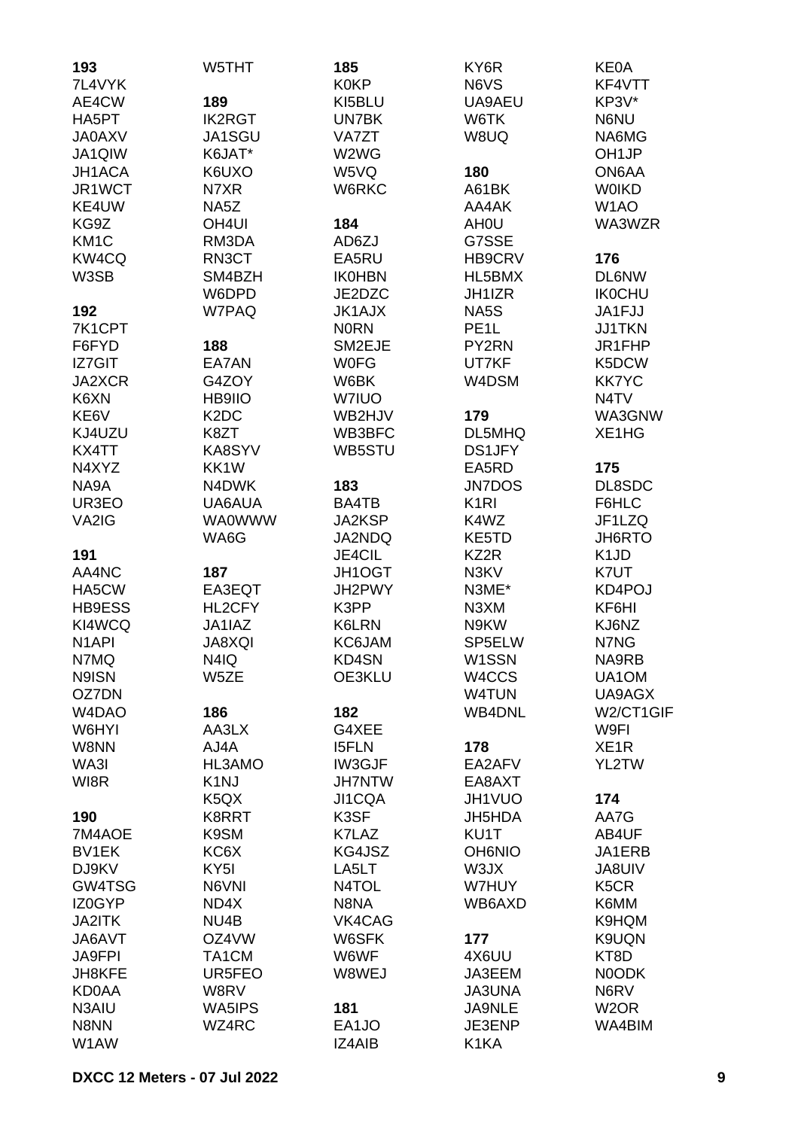| 193                | W5THT                         | 185           | KY6R              | <b>KE0A</b>                   |
|--------------------|-------------------------------|---------------|-------------------|-------------------------------|
| 7L4VYK             |                               | <b>K0KP</b>   | N6VS              | KF4VTT                        |
| AE4CW              | 189                           | KI5BLU        | UA9AEU            | KP3V*                         |
| HA5PT              | <b>IK2RGT</b>                 | UN7BK         | W6TK              | N6NU                          |
| <b>JA0AXV</b>      | JA1SGU                        | <b>VA7ZT</b>  | W8UQ              | NA6MG                         |
| JA1QIW             | K6JAT*                        | W2WG          |                   | OH <sub>1</sub> JP            |
| JH1ACA             | K6UXO                         | W5VQ          | 180               | ON6AA                         |
| JR1WCT             | N7XR                          | W6RKC         | A61BK             | <b>WOIKD</b>                  |
| KE4UW              | NA5Z                          |               | AA4AK             | W <sub>1</sub> AO             |
| KG9Z               | OH <sub>4UI</sub>             | 184           | AH <sub>0</sub> U | WA3WZR                        |
| KM <sub>1</sub> C  | RM3DA                         | AD6ZJ         | G7SSE             |                               |
| KW4CQ              | RN3CT                         | EA5RU         | HB9CRV            | 176                           |
| W3SB               | SM4BZH                        | <b>IK0HBN</b> | HL5BMX            | <b>DL6NW</b>                  |
|                    | W6DPD                         | JE2DZC        | JH1IZR            | <b>IK0CHU</b>                 |
| 192                | W7PAQ                         | <b>JK1AJX</b> | NA5S              | JA1FJJ                        |
| 7K1CPT             |                               | <b>NORN</b>   | PE <sub>1</sub> L | <b>JJ1TKN</b>                 |
| F6FYD              | 188                           | SM2EJE        | PY2RN             | JR1FHP                        |
| <b>IZ7GIT</b>      | EA7AN                         | <b>WOFG</b>   | UT7KF             | K5DCW                         |
| JA2XCR             | G4ZOY                         | W6BK          | W4DSM             | <b>KK7YC</b>                  |
| K6XN               | HB9IIO                        | W7IUO         |                   | N <sub>4</sub> TV             |
| KE6V               | K <sub>2</sub> D <sub>C</sub> | WB2HJV        |                   | WA3GNW                        |
|                    |                               | WB3BFC        | 179               | XE1HG                         |
| KJ4UZU             | K8ZT                          |               | DL5MHQ            |                               |
| KX4TT              | KA8SYV                        | WB5STU        | <b>DS1JFY</b>     |                               |
| N4XYZ              | KK1W                          |               | EA5RD             | 175                           |
| NA9A               | N4DWK                         | 183           | <b>JN7DOS</b>     | DL8SDC                        |
| UR3EO              | UA6AUA                        | BA4TB         | K <sub>1</sub> RI | F6HLC                         |
| VA2IG              | <b>WA0WWW</b>                 | JA2KSP        | K4WZ              | JF1LZQ                        |
|                    | WA6G                          | JA2NDQ        | KE5TD             | JH6RTO                        |
| 191                |                               | <b>JE4CIL</b> | KZ2R              | K <sub>1</sub> J <sub>D</sub> |
| AA4NC              | 187                           | JH1OGT        | N3KV              | K7UT                          |
| HA5CW              | EA3EQT                        | JH2PWY        | N3ME*             | KD4POJ                        |
| <b>HB9ESS</b>      | HL2CFY                        | K3PP          | N3XM              | KF6HI                         |
| KI4WCQ             | JA1IAZ                        | K6LRN         | N9KW              | KJ6NZ                         |
| N <sub>1</sub> API | <b>JA8XQI</b>                 | KC6JAM        | SP5ELW            | N7NG                          |
| N7MQ               | N4IQ                          | KD4SN         | W1SSN             | NA9RB                         |
| N9ISN              | W5ZE                          | OE3KLU        | W4CCS             | UA1OM                         |
| OZ7DN              |                               |               | <b>W4TUN</b>      | UA9AGX                        |
| W4DAO              | 186                           | 182           | <b>WB4DNL</b>     | W2/CT1GIF                     |
| W6HYI              | AA3LX                         | G4XEE         |                   | W9FI                          |
| W8NN               | AJ4A                          | <b>I5FLN</b>  | 178               | XE <sub>1</sub> R             |
| WA3I               | HL3AMO                        | IW3GJF        | EA2AFV            | YL2TW                         |
| WI8R               | K <sub>1</sub> NJ             | <b>JH7NTW</b> | EA8AXT            |                               |
|                    | K <sub>5</sub> Q <sub>X</sub> | JI1CQA        | JH1VUO            | 174                           |
| 190                | K8RRT                         | K3SF          | JH5HDA            | AA7G                          |
| 7M4AOE             | K9SM                          | K7LAZ         | KU1T              | AB4UF                         |
| BV1EK              | KC6X                          | KG4JSZ        | <b>OH6NIO</b>     | JA1ERB                        |
| DJ9KV              | KY <sub>5</sub> I             | LA5LT         | W3JX              | <b>JA8UIV</b>                 |
| GW4TSG             | N6VNI                         | N4TOL         | W7HUY             | K <sub>5</sub> CR             |
| IZ0GYP             | ND4X                          | N8NA          | WB6AXD            | K6MM                          |
| JA2ITK             | NU4B                          | VK4CAG        |                   | K9HQM                         |
| JA6AVT             | OZ4VW                         | W6SFK         | 177               | K9UQN                         |
| <b>JA9FPI</b>      | TA1CM                         | W6WF          | 4X6UU             | KT8D                          |
| JH8KFE             | UR5FEO                        | W8WEJ         | JA3EEM            | N0ODK                         |
| <b>KD0AA</b>       | W8RV                          |               | <b>JA3UNA</b>     | N6RV                          |
| N3AIU              | WA5IPS                        | 181           | JA9NLE            | W <sub>2</sub> OR             |
| N8NN               | WZ4RC                         | EA1JO         | JE3ENP            | WA4BIM                        |
| W1AW               |                               | <b>IZ4AIB</b> | K1KA              |                               |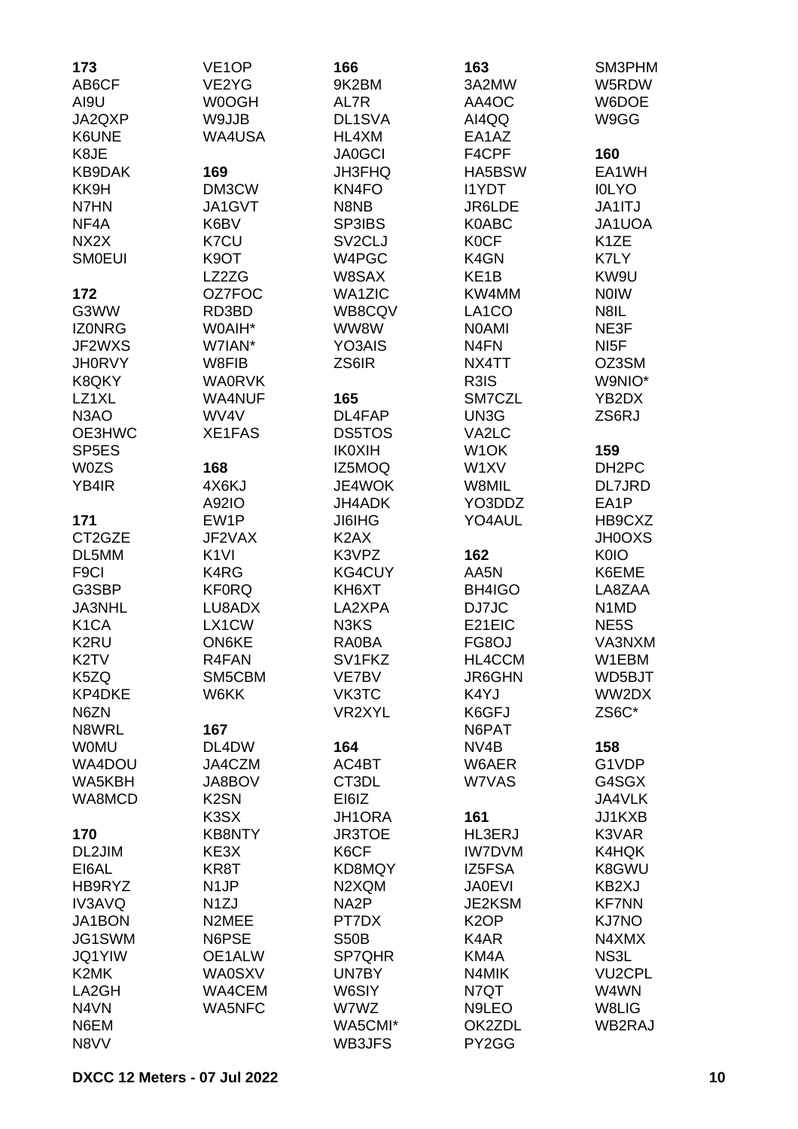| 173                | VE <sub>1</sub> OP | 166                 | 163                | SM3PHM                        |
|--------------------|--------------------|---------------------|--------------------|-------------------------------|
| AB6CF              | VE2YG              | 9K2BM               | 3A2MW              | W5RDW                         |
| AI9U               | W0OGH              | AL7R                | AA4OC              | W6DOE                         |
| JA2QXP             | W9JJB              | DL1SVA              | AI4QQ              | W9GG                          |
| K6UNE              | <b>WA4USA</b>      | HL4XM               | EA1AZ              |                               |
| K8JE               |                    | <b>JA0GCI</b>       | F4CPF              | 160                           |
| <b>KB9DAK</b>      | 169                | <b>JH3FHQ</b>       | HA5BSW             | EA1WH                         |
| KK9H               | DM3CW              | KN4FO               | <b>I1YDT</b>       | <b>IOLYO</b>                  |
| N7HN               | JA1GVT             | N8NB                | JR6LDE             | JA1ITJ                        |
| NF <sub>4</sub> A  | K6BV               | SP3IBS              | <b>K0ABC</b>       | JA1UOA                        |
| NX <sub>2</sub> X  | K7CU               | SV <sub>2</sub> CLJ | <b>KOCF</b>        | K <sub>1</sub> ZE             |
| <b>SMOEUI</b>      | K9OT               | W4PGC               | K4GN               | K7LY                          |
|                    | LZ2ZG              | W8SAX               | KE <sub>1</sub> B  | KW9U                          |
|                    | OZ7FOC             |                     | KW4MM              |                               |
| 172                |                    | <b>WA1ZIC</b>       |                    | <b>NOIW</b>                   |
| G3WW               | RD3BD              | WB8CQV              | LA <sub>1</sub> CO | N8IL                          |
| <b>IZONRG</b>      | W0AIH*             | WW8W                | <b>NOAMI</b>       | NE3F                          |
| JF2WXS             | W7IAN*             | YO3AIS              | N <sub>4</sub> FN  | NI <sub>5</sub> F             |
| <b>JH0RVY</b>      | W8FIB              | ZS6IR               | NX4TT              | OZ3SM                         |
| K8QKY              | <b>WA0RVK</b>      |                     | R3IS               | W9NIO*                        |
| LZ1XL              | <b>WA4NUF</b>      | 165                 | SM7CZL             | YB2DX                         |
| N <sub>3</sub> AO  | WV4V               | DL4FAP              | UN3G               | ZS6RJ                         |
| OE3HWC             | XE1FAS             | DS5TOS              | VA2LC              |                               |
| SP <sub>5E</sub> S |                    | <b>IK0XIH</b>       | W <sub>1</sub> OK  | 159                           |
| <b>W0ZS</b>        | 168                | IZ5MOQ              | W1XV               | DH <sub>2</sub> PC            |
| YB4IR              | 4X6KJ              | JE4WOK              | W8MIL              | DL7JRD                        |
|                    | A92IO              | JH4ADK              | YO3DDZ             | EA1P                          |
| 171                | EW1P               | <b>JI6IHG</b>       | YO4AUL             | HB9CXZ                        |
| CT2GZE             | JF2VAX             | K <sub>2</sub> AX   |                    | <b>JH0OXS</b>                 |
| DL5MM              | K <sub>1VI</sub>   | K3VPZ               | 162                | <b>K0IO</b>                   |
| F <sub>9</sub> Cl  | K4RG               | KG4CUY              | AA5N               | K6EME                         |
| G3SBP              | <b>KF0RQ</b>       | KH6XT               | BH4IGO             | LA8ZAA                        |
| JA3NHL             | LU8ADX             | LA2XPA              | DJ7JC              | N <sub>1</sub> M <sub>D</sub> |
| K <sub>1</sub> CA  | LX1CW              | N3KS                | E21EIC             | NE5S                          |
| K <sub>2</sub> RU  | <b>ON6KE</b>       | RA0BA               | FG8OJ              | VA3NXM                        |
| K <sub>2</sub> TV  | R4FAN              | SV1FKZ              | HL4CCM             | W1EBM                         |
| K5ZQ               | SM5CBM             | VE7BV               | <b>JR6GHN</b>      | WD5BJT                        |
| <b>KP4DKE</b>      | W6KK               | VK3TC               | K4YJ               | WW2DX                         |
| N6ZN               |                    | VR2XYL              | K6GFJ              | ZS6C*                         |
| N8WRL              | 167                |                     | N6PAT              |                               |
| <b>WOMU</b>        | DL4DW              | 164                 | NV4B               | 158                           |
| WA4DOU             | JA4CZM             | AC4BT               | W6AER              | G1VDP                         |
| WA5KBH             | JA8BOV             | CT3DL               | W7VAS              | G4SGX                         |
| WA8MCD             | K <sub>2</sub> SN  | EI6IZ               |                    | JA4VLK                        |
|                    | K3SX               | JH1ORA              | 161                | JJ1KXB                        |
| 170                | <b>KB8NTY</b>      | <b>JR3TOE</b>       | HL3ERJ             | K3VAR                         |
| DL2JIM             | KE3X               | K6CF                | <b>IW7DVM</b>      | K4HQK                         |
| EI6AL              | KR8T               | KD8MQY              | IZ5FSA             | K8GWU                         |
| HB9RYZ             | N <sub>1</sub> JP  | N2XQM               | <b>JA0EVI</b>      | KB2XJ                         |
| <b>IV3AVQ</b>      | N <sub>1</sub> ZJ  | NA <sub>2</sub> P   | JE2KSM             | <b>KF7NN</b>                  |
| JA1BON             | N2MEE              | PT7DX               | K <sub>2</sub> OP  | KJ7NO                         |
| JG1SWM             | N6PSE              | <b>S50B</b>         | K4AR               | N4XMX                         |
| <b>JQ1YIW</b>      | OE1ALW             | SP7QHR              | KM4A               | NS3L                          |
| K <sub>2</sub> MK  | <b>WA0SXV</b>      | UN7BY               | N4MIK              | <b>VU2CPL</b>                 |
| LA2GH              | WA4CEM             | W6SIY               | N7QT               | W4WN                          |
| N4VN               |                    | W7WZ                |                    | W8LIG                         |
|                    | <b>WA5NFC</b>      |                     | N9LEO              |                               |
| N6EM               |                    | WA5CMI*             | OK2ZDL             | WB2RAJ                        |
| N8VV               |                    | WB3JFS              | PY2GG              |                               |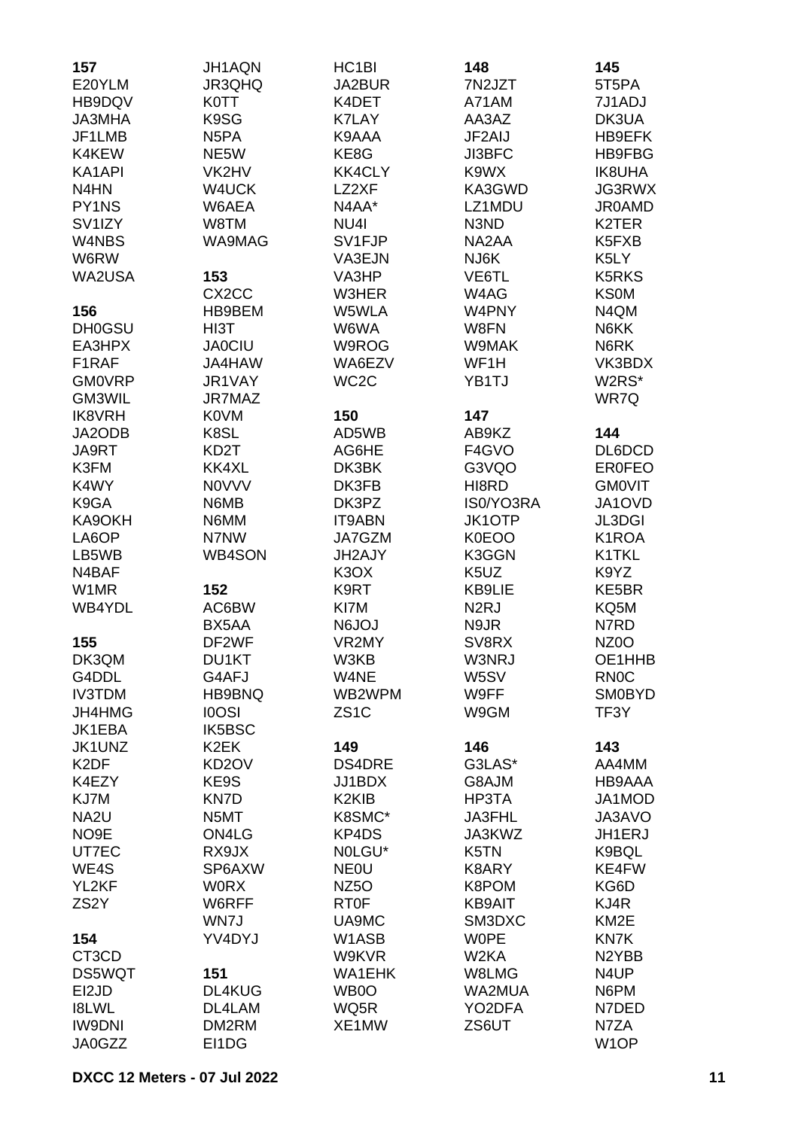| 157                 | JH1AQN             | HC <sub>1</sub> BI             | 148               | 145                |
|---------------------|--------------------|--------------------------------|-------------------|--------------------|
| E20YLM              | JR3QHQ             | JA2BUR                         | 7N2JZT            | 5T5PA              |
| HB9DQV              | <b>K0TT</b>        | K4DET                          | A71AM             | 7J1ADJ             |
| <b>JA3MHA</b>       | K9SG               | <b>K7LAY</b>                   | AA3AZ             | DK3UA              |
| JF1LMB              | N <sub>5</sub> PA  | K9AAA                          | JF2AIJ            | HB9EFK             |
| K4KEW               | NE5W               | KE8G                           | JI3BFC            | HB9FBG             |
| KA1API              | VK2HV              | <b>KK4CLY</b>                  | K9WX              | <b>IK8UHA</b>      |
| N4HN                | W4UCK              | LZ2XF                          | KA3GWD            | JG3RWX             |
| PY1NS               | W6AEA              | N4AA*                          | LZ1MDU            | <b>JR0AMD</b>      |
|                     |                    |                                |                   |                    |
| SV <sub>1</sub> IZY | W8TM               | NU4I                           | N3ND              | K2TER              |
| W4NBS               | WA9MAG             | SV1FJP                         | NA2AA             | K5FXB              |
| W6RW                |                    | VA3EJN                         | NJ6K              | K5LY               |
| WA2USA              | 153                | VA3HP                          | VE6TL             | <b>K5RKS</b>       |
|                     | CX <sub>2</sub> CC | W3HER                          | W4AG              | <b>KS0M</b>        |
| 156                 | HB9BEM             | W5WLA                          | W4PNY             | N4QM               |
| <b>DH0GSU</b>       | HI3T               | W6WA                           | W8FN              | N6KK               |
| EA3HPX              | <b>JA0CIU</b>      | W9ROG                          | W9MAK             | N6RK               |
| F1RAF               | JA4HAW             | WA6EZV                         | WF1H              | VK3BDX             |
| <b>GM0VRP</b>       | JR1VAY             | WC <sub>2</sub> C              | YB1TJ             | W2RS*              |
| GM3WIL              | JR7MAZ             |                                |                   | WR7Q               |
| <b>IK8VRH</b>       | <b>K0VM</b>        | 150                            | 147               |                    |
| JA2ODB              | K8SL               | AD5WB                          | AB9KZ             | 144                |
| JA9RT               | KD <sub>2</sub> T  | AG6HE                          | F4GVO             | DL6DCD             |
| K3FM                | KK4XL              | DK3BK                          | G3VQO             | <b>ER0FEO</b>      |
| K4WY                | <b>NOVVV</b>       | DK3FB                          | HI8RD             | <b>GMOVIT</b>      |
| K9GA                | N6MB               | DK3PZ                          | IS0/YO3RA         | JA1OVD             |
| KA9OKH              | N6MM               | <b>IT9ABN</b>                  | <b>JK1OTP</b>     | JL3DGI             |
| LA6OP               | N7NW               | JA7GZM                         | <b>K0EOO</b>      | K1ROA              |
| LB5WB               | <b>WB4SON</b>      | JH2AJY                         | K3GGN             | K1TKL              |
| N4BAF               |                    | K <sub>3</sub> OX              | K <sub>5</sub> UZ | K9YZ               |
| W1MR                | 152                | K9RT                           | KB9LIE            | KE5BR              |
| WB4YDL              | AC6BW              | KI7M                           | N <sub>2</sub> RJ | KQ5M               |
|                     | BX5AA              | <b>N6JOJ</b>                   | N9JR              | N7RD               |
| 155                 | DF2WF              | VR2MY                          | SV8RX             | NZ <sub>0</sub> O  |
| DK3QM               | DU1KT              | W3KB                           | W3NRJ             | OE1HHB             |
| G4DDL               | G4AFJ              | W4NE                           | W5SV              | <b>RN0C</b>        |
| <b>IV3TDM</b>       | HB9BNQ             | WB2WPM                         | W9FF              | <b>SM0BYD</b>      |
| JH4HMG              | <b>IOOSI</b>       | ZS <sub>1</sub> C              | W9GM              | TF3Y               |
| JK1EBA              | IK5BSC             |                                |                   |                    |
| JK1UNZ              | K <sub>2</sub> EK  | 149                            | 146               | 143                |
| K <sub>2</sub> DF   | KD <sub>2</sub> OV | <b>DS4DRE</b>                  | G3LAS*            | AA4MM              |
|                     | KE9S               |                                |                   |                    |
| K4EZY               | <b>KN7D</b>        | JJ1BDX                         | G8AJM             | HB9AAA             |
| KJ7M                |                    | K <sub>2</sub> KI <sub>B</sub> | HP3TA             | JA1MOD             |
| NA <sub>2U</sub>    | N5MT               | K8SMC*                         | JA3FHL            | JA3AVO             |
| NO <sub>9</sub> E   | ON4LG              | KP4DS                          | JA3KWZ            | JH1ERJ             |
| UT7EC               | RX9JX              | NOLGU*                         | K5TN              | K9BQL              |
| WE4S                | SP6AXW             | <b>NEOU</b>                    | K8ARY             | KE4FW              |
| YL2KF               | <b>WORX</b>        | NZ <sub>50</sub>               | K8POM             | KG6D               |
| ZS <sub>2</sub> Y   | W6RFF              | <b>RT0F</b>                    | <b>KB9AIT</b>     | KJ4R               |
|                     | WN7J               | UA9MC                          | SM3DXC            | KM <sub>2</sub> E  |
| 154                 | YV4DYJ             | W1ASB                          | <b>WOPE</b>       | KN7K               |
| CT3CD               |                    | W9KVR                          | W <sub>2</sub> KA | N <sub>2</sub> YBB |
| DS5WQT              | 151                | <b>WA1EHK</b>                  | W8LMG             | N4UP               |
| EI2JD               | DL4KUG             | WB0O                           | WA2MUA            | N6PM               |
| <b>I8LWL</b>        | DL4LAM             | WQ5R                           | YO2DFA            | N7DED              |
| <b>IW9DNI</b>       | DM2RM              | XE1MW                          | ZS6UT             | N7ZA               |
| JA0GZZ              | EI1DG              |                                |                   | W <sub>1</sub> OP  |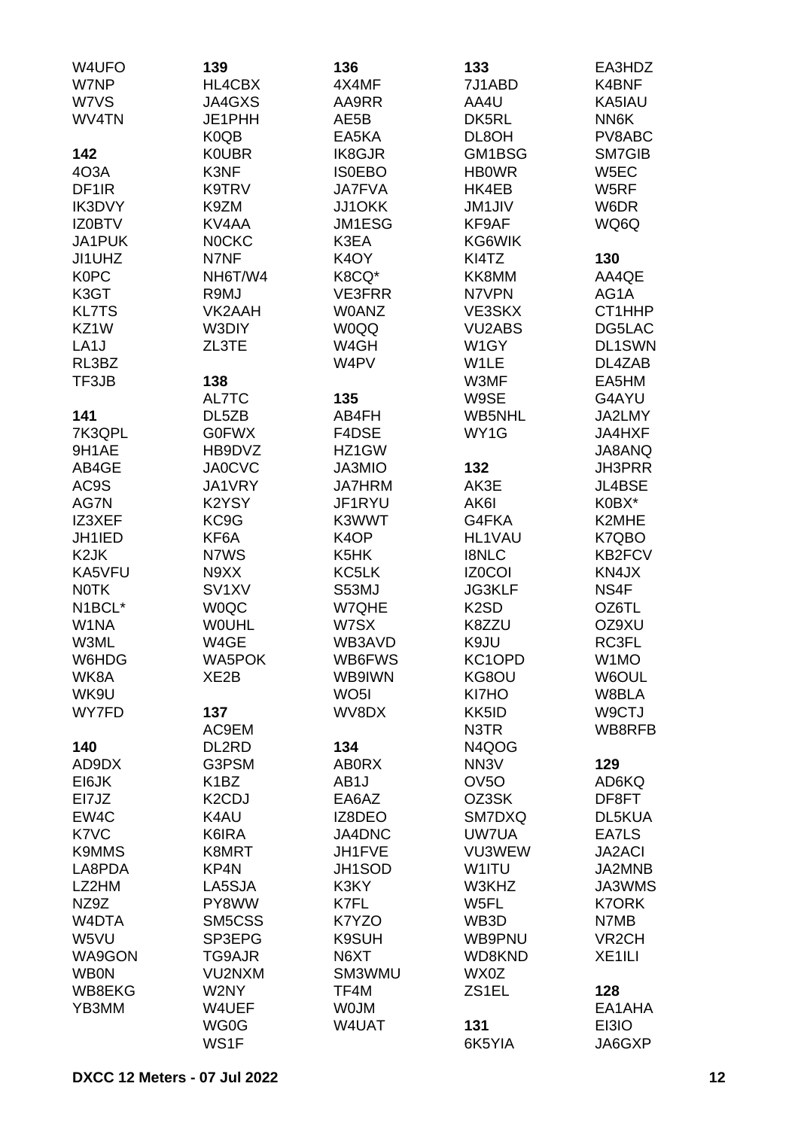| W4UFO              | 139                             | 136               | 133               | EA3HDZ             |
|--------------------|---------------------------------|-------------------|-------------------|--------------------|
| W7NP               | HL4CBX                          | 4X4MF             | 7J1ABD            | K4BNF              |
| W7VS               | JA4GXS                          | AA9RR             | AA4U              | KA5IAU             |
| WV4TN              | JE1PHH                          | AE5B              | DK5RL             | NN6K               |
|                    | K0QB                            | EA5KA             | DL8OH             | PV8ABC             |
| 142                | <b>K0UBR</b>                    | IK8GJR            | GM1BSG            | <b>SM7GIB</b>      |
| 4O3A               | K3NF                            | <b>ISOEBO</b>     | <b>HBOWR</b>      | W <sub>5</sub> EC  |
| DF <sub>1</sub> IR | K9TRV                           | <b>JA7FVA</b>     | HK4EB             | W5RF               |
| IK3DVY             | K9ZM                            | JJ10KK            | <b>JM1JIV</b>     | W6DR               |
| <b>IZ0BTV</b>      | KV4AA                           | JM1ESG            | KF9AF             | WQ6Q               |
| JA1PUK             | <b>NOCKC</b>                    | K3EA              | KG6WIK            |                    |
| JI1UHZ             | N7NF                            | K <sub>4</sub> OY | KI4TZ             | 130                |
| <b>K0PC</b>        | NH6T/W4                         | K8CQ*             | KK8MM             | AA4QE              |
| K3GT               | R9MJ                            | <b>VE3FRR</b>     | N7VPN             | AG1A               |
| <b>KL7TS</b>       | VK2AAH                          | <b>W0ANZ</b>      | VE3SKX            | CT1HHP             |
| KZ1W               | W3DIY                           | <b>WOQQ</b>       | <b>VU2ABS</b>     | DG5LAC             |
| LA <sub>1</sub> J  | ZL3TE                           | W4GH              | W1GY              | <b>DL1SWN</b>      |
| RL3BZ              |                                 | W4PV              | W1LE              | DL4ZAB             |
| TF3JB              | 138                             |                   | W3MF              | EA5HM              |
|                    | AL7TC                           | 135               | W9SE              | G4AYU              |
| 141                | DL5ZB                           | AB4FH             | <b>WB5NHL</b>     | JA2LMY             |
| 7K3QPL             | <b>G0FWX</b>                    | F4DSE             | WY1G              | <b>JA4HXF</b>      |
| 9H1AE              | HB9DVZ                          | HZ1GW             |                   | JA8ANQ             |
| AB4GE              | <b>JA0CVC</b>                   | <b>JA3MIO</b>     | 132               | JH3PRR             |
| AC9S               | JA1VRY                          | <b>JA7HRM</b>     | AK3E              | JL4BSE             |
| AG7N               | K2YSY                           | JF1RYU            | AK6I              | K0BX*              |
| IZ3XEF             | KC9G                            | K3WWT             | G4FKA             | K2MHE              |
| JH1IED             | KF6A                            | K <sub>4</sub> OP | <b>HL1VAU</b>     | K7QBO              |
| K <sub>2</sub> JK  | N7WS                            | K5HK              | <b>I8NLC</b>      | KB2FCV             |
| KA5VFU             | N9XX                            | KC5LK             | <b>IZ0COI</b>     | KN4JX              |
| <b>NOTK</b>        | SV <sub>1</sub> XV              | S53MJ             | <b>JG3KLF</b>     | NS4F               |
| N1BCL*             | <b>WOQC</b>                     | W7QHE             | K <sub>2</sub> SD | OZ6TL              |
| W1NA               | <b>WOUHL</b>                    | W7SX              | K8ZZU             | OZ9XU              |
| W3ML               | W4GE                            | WB3AVD            | K9JU              | RC3FL              |
| W6HDG              | WA5POK                          | WB6FWS            | KC1OPD            | W1MO               |
| WK8A               | XE <sub>2</sub> B               | WB9IWN            | KG8OU             | W6OUL              |
| WK9U               |                                 | WO <sub>5</sub> I | KI7HO             | W8BLA              |
| WY7FD              | 137                             | WV8DX             | KK5ID             | W9CTJ              |
|                    | AC9EM                           |                   | N3TR              | WB8RFB             |
| 140                | DL2RD                           | 134               | N4QOG             |                    |
| AD9DX              | G3PSM                           | <b>AB0RX</b>      | NN <sub>3</sub> V | 129                |
| EI6JK              | K <sub>1</sub> BZ               | AB <sub>1</sub> J | OV <sub>5</sub> O | AD6KQ              |
| EI7JZ              | K <sub>2</sub> C <sub>D</sub> J | EA6AZ             | OZ3SK             | DF8FT              |
| EW4C               | K4AU                            | IZ8DEO            | SM7DXQ            | DL5KUA             |
| K7VC               | K6IRA                           | JA4DNC            | UW7UA             | EA7LS              |
| <b>K9MMS</b>       | K8MRT                           | JH1FVE            | VU3WEW            | <b>JA2ACI</b>      |
| LA8PDA             | KP4N                            | JH1SOD            | W1ITU             | JA2MNB             |
| LZ2HM              | LA5SJA                          | K3KY              | W3KHZ             | JA3WMS             |
| NZ9Z               | PY8WW                           | K7FL              | W5FL              | <b>K7ORK</b>       |
| W4DTA              | SM5CSS                          | K7YZO             | WB3D              | N7MB               |
| W5VU               | SP3EPG                          | <b>K9SUH</b>      | WB9PNU            | VR <sub>2</sub> CH |
| WA9GON             | TG9AJR                          | N6XT              | WD8KND            | XE <sub>1ILI</sub> |
| <b>WB0N</b>        | VU2NXM                          | SM3WMU            | WX0Z              |                    |
| WB8EKG             | W2NY                            | TF4M              | ZS1EL             | 128                |
| YB3MM              | W4UEF                           | <b>WOJM</b>       |                   | EA1AHA             |
|                    | WG0G                            | W4UAT             | 131               | EI3IO              |
|                    | WS1F                            |                   | 6K5YIA            | JA6GXP             |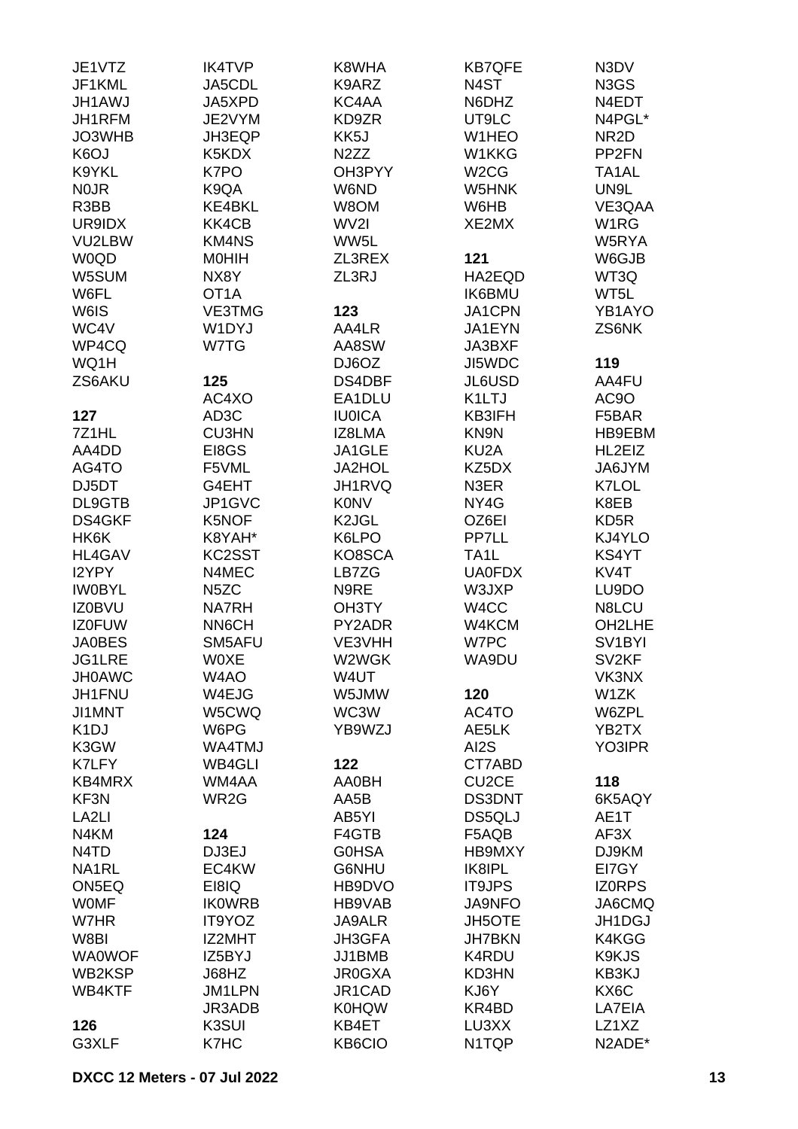| JE1VTZ                        | <b>IK4TVP</b>     | K8WHA              | <b>KB7QFE</b>      | N3DV                |
|-------------------------------|-------------------|--------------------|--------------------|---------------------|
| JF1KML                        | JA5CDL            | K9ARZ              | N <sub>4</sub> ST  | N3GS                |
| <b>JH1AWJ</b>                 | JA5XPD            | KC4AA              | N6DHZ              | N4EDT               |
| JH1RFM                        | JE2VYM            | KD9ZR              | UT9LC              | N4PGL*              |
| JO3WHB                        | JH3EQP            | KK5J               | W1HEO              | NR <sub>2</sub> D   |
| K6OJ                          | K5KDX             | N <sub>2</sub> ZZ  | W1KKG              | PP <sub>2FN</sub>   |
| K9YKL                         | K7PO              | OH3PYY             | W <sub>2</sub> CG  | TA1AL               |
| <b>NOJR</b>                   | K9QA              | W6ND               | W5HNK              | UN9L                |
| R3BB                          | <b>KE4BKL</b>     | W8OM               | W6HB               | VE3QAA              |
| UR9IDX                        | KK4CB             | WV2I               | XE2MX              | W <sub>1</sub> RG   |
| VU2LBW                        | KM4NS             | WW5L               |                    | W5RYA               |
| W0QD                          | <b>MOHIH</b>      | ZL3REX             | 121                | W6GJB               |
| W5SUM                         | NX8Y              | ZL3RJ              | HA2EQD             | WT3Q                |
| W6FL                          | OT <sub>1</sub> A |                    | <b>IK6BMU</b>      | WT5L                |
| W6IS                          | <b>VE3TMG</b>     | 123                | JA1CPN             | YB1AYO              |
| WC4V                          | W1DYJ             | AA4LR              | JA1EYN             | ZS6NK               |
| WP4CQ                         | W7TG              | AA8SW              | JA3BXF             |                     |
| WQ1H                          |                   | DJ6OZ              | JI5WDC             | 119                 |
| ZS6AKU                        | 125               | DS4DBF             | JL6USD             | AA4FU               |
|                               | AC4XO             | EA1DLU             | K1LTJ              | AC9O                |
| 127                           | AD3C              | <b>IU0ICA</b>      | KB3IFH             | F5BAR               |
| 7Z1HL                         | <b>CU3HN</b>      | IZ8LMA             | KN9N               | HB9EBM              |
| AA4DD                         |                   |                    |                    | HL2EIZ              |
|                               | EI8GS             | JA1GLE             | KU <sub>2</sub> A  |                     |
| AG4TO                         | F5VML             | <b>JA2HOL</b>      | KZ5DX              | JA6JYM              |
| DJ5DT                         | G4EHT             | JH1RVQ             | N3ER               | K7LOL               |
| DL9GTB                        | JP1GVC            | <b>K0NV</b>        | NY4G               | K8EB                |
| <b>DS4GKF</b>                 | K5NOF             | K <sub>2</sub> JGL | OZ6EI              | KD <sub>5</sub> R   |
| HK6K                          | K8YAH*            | K6LPO              | PP7LL              | KJ4YLO              |
| <b>HL4GAV</b>                 | KC2SST            | KO8SCA             | TA <sub>1</sub> L  | KS4YT               |
| I2YPY                         | N4MEC             | LB7ZG              | <b>UA0FDX</b>      | KV4T                |
| <b>IWOBYL</b>                 | N <sub>5</sub> ZC | N9RE               | W3JXP              | LU9DO               |
| IZ0BVU                        | <b>NA7RH</b>      | OH3TY              | W4CC               | N8LCU               |
| <b>IZ0FUW</b>                 | <b>NN6CH</b>      | PY2ADR             | W4KCM              | OH2LHE              |
| <b>JA0BES</b>                 | SM5AFU            | VE3VHH             | W7PC               | SV <sub>1</sub> BYI |
| <b>JG1LRE</b>                 | <b>WOXE</b>       | W2WGK              | WA9DU              | SV <sub>2KF</sub>   |
| <b>JH0AWC</b>                 | W4AO              | W4UT               |                    | VK3NX               |
| JH1FNU                        | W4EJG             | W5JMW              | 120                | W1ZK                |
| JI1MNT                        | W5CWQ             | WC3W               | AC4TO              | W6ZPL               |
| K <sub>1</sub> DJ             | W6PG              | YB9WZJ             | AE5LK              | YB2TX               |
| K3GW                          | WA4TMJ            |                    | AI2S               | YO3IPR              |
| K7LFY                         | WB4GLI            | 122                | CT7ABD             |                     |
| KB4MRX                        | WM4AA             | <b>AA0BH</b>       | CU <sub>2</sub> CE | 118                 |
| KF3N                          | WR <sub>2</sub> G | AA5B               | <b>DS3DNT</b>      | 6K5AQY              |
| LA <sub>2LI</sub>             |                   | AB5YI              | DS5QLJ             | AE1T                |
| N4KM                          | 124               | F4GTB              | F5AQB              | AF3X                |
| N <sub>4</sub> T <sub>D</sub> | DJ3EJ             | <b>GOHSA</b>       | <b>HB9MXY</b>      | DJ9KM               |
| NA1RL                         | EC4KW             | G6NHU              | IK8IPL             | EI7GY               |
| ON5EQ                         | EI8IQ             | HB9DVO             | <b>IT9JPS</b>      | <b>IZORPS</b>       |
| <b>WOMF</b>                   | <b>IKOWRB</b>     | HB9VAB             | <b>JA9NFO</b>      | JA6CMQ              |
| W7HR                          | IT9YOZ            | JA9ALR             | <b>JH5OTE</b>      | JH1DGJ              |
| W8BI                          | IZ2MHT            | JH3GFA             | <b>JH7BKN</b>      | K4KGG               |
| <b>WA0WOF</b>                 | IZ5BYJ            | JJ1BMB             | K4RDU              | K9KJS               |
| WB2KSP                        | J68HZ             | <b>JR0GXA</b>      | KD3HN              | KB3KJ               |
| WB4KTF                        | JM1LPN            | JR1CAD             | KJ6Y               | KX6C                |
|                               | JR3ADB            | <b>K0HQW</b>       | KR4BD              | LA7EIA              |
| 126                           | K3SUI             | KB4ET              | LU3XX              | LZ1XZ               |
| G3XLF                         | K7HC              | KB6CIO             | N1TQP              | N2ADE*              |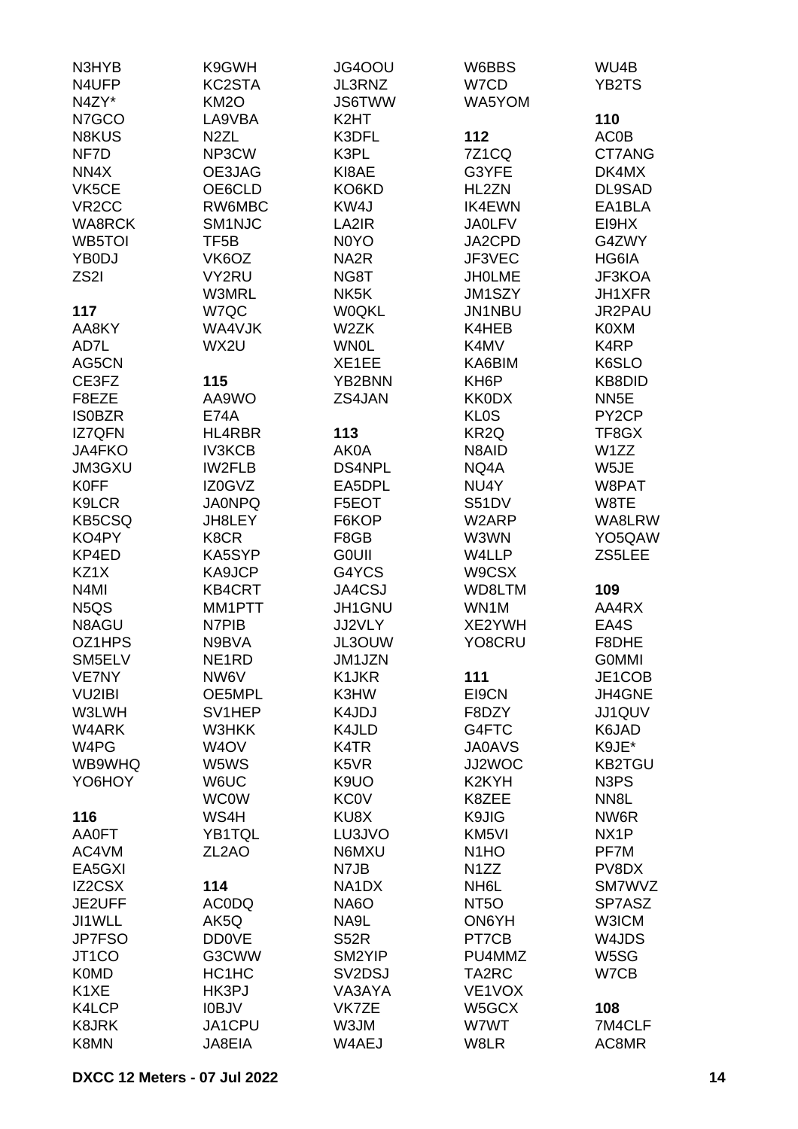| N3HYB<br>N4UFP<br>N4ZY*       | K9GWH<br>KC2STA<br><b>KM2O</b> | JG4OOU<br>JL3RNZ<br><b>JS6TWW</b> | W6BBS<br>W7CD<br>WA5YOM               | WU4B<br>YB2TS                 |
|-------------------------------|--------------------------------|-----------------------------------|---------------------------------------|-------------------------------|
| N7GCO                         | LA9VBA                         | K2HT                              |                                       | 110                           |
| N8KUS                         | N <sub>2</sub> ZL              | K3DFL                             | 112                                   | <b>AC0B</b>                   |
| NF7D                          | NP3CW                          | K3PL                              | 7Z1CQ                                 | CT7ANG                        |
| NN4X                          | OE3JAG                         | KI8AE                             | G3YFE                                 | DK4MX                         |
| VK5CE                         | OE6CLD                         | KO6KD                             | HL2ZN                                 | DL9SAD                        |
| VR <sub>2</sub> CC            | RW6MBC                         | KW4J                              | <b>IK4EWN</b>                         | EA1BLA                        |
| <b>WA8RCK</b>                 | SM1NJC                         | LA2IR                             | <b>JA0LFV</b>                         | EI9HX                         |
| WB5TOI                        | TF <sub>5</sub> B              | N0YO                              | JA2CPD                                | G4ZWY                         |
| YB0DJ                         | VK6OZ                          | NA <sub>2</sub> R                 | JF3VEC                                | HG6IA                         |
| ZS <sub>2</sub> I             | VY2RU                          | NG8T                              | <b>JHOLME</b>                         | JF3KOA                        |
|                               | <b>W3MRL</b>                   | NK <sub>5</sub> K                 | JM1SZY                                | JH1XFR                        |
| 117                           | W7QC                           | <b>WOQKL</b>                      | JN1NBU                                | JR2PAU                        |
| AA8KY                         | WA4VJK                         | W <sub>2</sub> ZK                 | K4HEB                                 | K0XM                          |
| AD7L                          | WX2U                           | <b>WN0L</b>                       | K4MV                                  | K4RP                          |
| AG5CN                         |                                | XE1EE                             | KA6BIM                                | K6SLO                         |
| CE3FZ                         | 115                            | YB2BNN                            | KH <sub>6</sub> P                     | KB8DID                        |
| F8EZE                         | AA9WO                          | ZS4JAN                            | <b>KK0DX</b>                          | NN <sub>5</sub> E             |
| <b>IS0BZR</b>                 | <b>E74A</b>                    |                                   | <b>KLOS</b>                           | PY <sub>2</sub> CP            |
| <b>IZ7QFN</b>                 | HL4RBR                         | 113                               | KR <sub>2Q</sub>                      | TF8GX                         |
| JA4FKO                        | <b>IV3KCB</b>                  | AK0A                              | N8AID                                 | W1ZZ                          |
| <b>JM3GXU</b>                 | <b>IW2FLB</b>                  | DS4NPL                            | NQ4A                                  | W5JE                          |
| <b>K0FF</b>                   | IZ0GVZ                         | EA5DPL                            | NU4Y                                  | W8PAT                         |
| K9LCR                         | <b>JA0NPQ</b>                  | F5EOT                             | S51DV                                 | W8TE                          |
| <b>KB5CSQ</b>                 | JH8LEY                         | F6KOP                             | W2ARP                                 | WA8LRW                        |
| KO4PY                         | K8CR                           | F8GB                              | W3WN                                  | YO <sub>5</sub> QAW           |
| KP4ED                         | KA5SYP                         | <b>GOUII</b>                      | W4LLP                                 | ZS5LEE                        |
| KZ1X                          | KA9JCP                         | G4YCS                             | W9CSX                                 |                               |
| N <sub>4</sub> MI             | <b>KB4CRT</b>                  | JA4CSJ                            | WD8LTM                                | 109                           |
| N <sub>5</sub> Q <sub>S</sub> | MM1PTT                         | JH1GNU                            | WN1M                                  | AA4RX                         |
| N8AGU                         | N7PIB                          | JJ2VLY                            | XE2YWH                                | EA4S                          |
| OZ1HPS                        | N9BVA                          | JL3OUW                            | YO8CRU                                | F8DHE                         |
| SM5ELV                        | NE <sub>1</sub> RD             | JM1JZN                            |                                       | <b>GOMMI</b>                  |
| VE7NY                         | NW6V                           | K1JKR                             | 111                                   | JE1COB                        |
| <b>VU2IBI</b>                 | OE5MPL                         | K3HW                              | EI9CN                                 | JH4GNE                        |
| W3LWH                         | SV1HEP                         | K4JDJ                             | F8DZY                                 | JJ1QUV                        |
| W4ARK                         | W3HKK                          | K4JLD                             | G4FTC                                 | K6JAD                         |
| W4PG                          | W <sub>4</sub> OV              | K4TR                              | <b>JA0AVS</b>                         | K9JE*                         |
| WB9WHQ                        | W5WS                           | K <sub>5</sub> V <sub>R</sub>     | JJ2WOC                                | <b>KB2TGU</b>                 |
| YO6HOY                        | W6UC                           | K9UO                              | K <sub>2</sub> KYH                    | N <sub>3</sub> P <sub>S</sub> |
|                               | <b>WC0W</b>                    | <b>KC0V</b>                       | K8ZEE                                 | NN <sub>8</sub> L             |
| 116                           | WS4H                           | KU8X                              | K9JIG                                 | NW6R                          |
| <b>AA0FT</b>                  | YB1TQL                         | LU3JVO                            | KM <sub>5VI</sub>                     | NX <sub>1</sub> P             |
| AC4VM                         | ZL <sub>2</sub> AO             | N6MXU                             | N <sub>1</sub> HO                     | PF7M                          |
| EA5GXI                        |                                | N7JB                              | N <sub>1</sub> ZZ                     | PV8DX<br>SM7WVZ               |
| IZ2CSX<br>JE2UFF              | 114<br><b>ACODQ</b>            | NA1DX<br><b>NA6O</b>              | NH <sub>6</sub> L<br>NT <sub>50</sub> | SP7ASZ                        |
| JI1WLL                        | AK5Q                           | NA9L                              | ON6YH                                 | W3ICM                         |
| <b>JP7FSO</b>                 | <b>DD0VE</b>                   | <b>S52R</b>                       | PT7CB                                 | W4JDS                         |
| JT1CO                         | G3CWW                          | SM2YIP                            | PU4MMZ                                | W5SG                          |
| <b>K0MD</b>                   | HC1HC                          | SV <sub>2</sub> D <sub>SJ</sub>   | TA2RC                                 | W7CB                          |
| K <sub>1</sub> XE             | HK3PJ                          | VA3AYA                            | VE1VOX                                |                               |
| K4LCP                         | <b>IOBJV</b>                   | VK7ZE                             | W5GCX                                 | 108                           |
| <b>K8JRK</b>                  | JA1CPU                         | W3JM                              | W7WT                                  | 7M4CLF                        |
| K8MN                          | JA8EIA                         | W4AEJ                             | W8LR                                  | AC8MR                         |
|                               |                                |                                   |                                       |                               |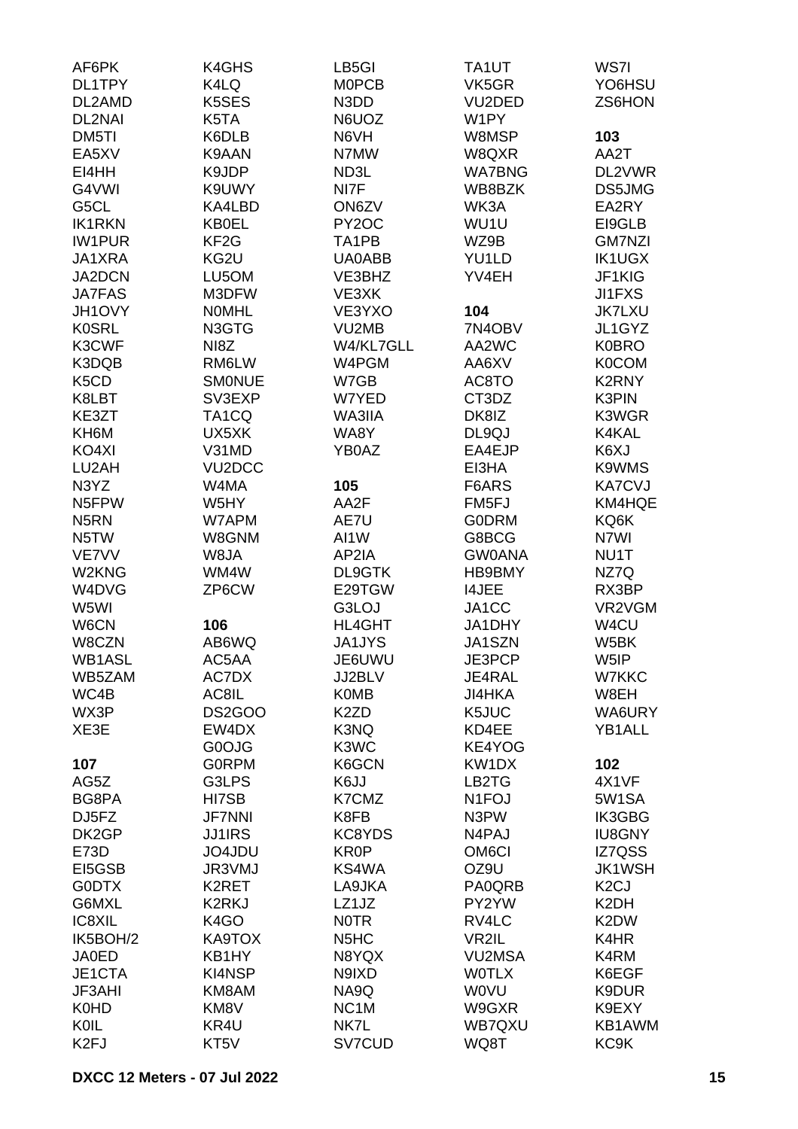| AF6PK                         | K4GHS               | LB5GI                         | TA1UT               | WS7I              |
|-------------------------------|---------------------|-------------------------------|---------------------|-------------------|
| DL1TPY                        | K4LQ                | <b>MOPCB</b>                  | VK5GR               | YO6HSU            |
| DL2AMD                        | K5SES               | N3DD                          | VU <sub>2</sub> DED | ZS6HON            |
| DL2NAI                        | K5TA                | N6UOZ                         | W1PY                |                   |
| DM5TI                         | K6DLB               | N6VH                          | W8MSP               | 103               |
| EA5XV                         | K9AAN               | N7MW                          | W8QXR               | AA2T              |
| EI4HH                         | K9JDP               | ND3L                          | <b>WA7BNG</b>       | DL2VWR            |
| G4VWI                         | K9UWY               | NI7F                          | WB8BZK              | DS5JMG            |
| G5CL                          | KA4LBD              | ON6ZV                         | WK3A                | EA2RY             |
| <b>IK1RKN</b>                 | <b>KB0EL</b>        | PY <sub>2</sub> OC            | WU1U                | EI9GLB            |
| <b>IW1PUR</b>                 | KF <sub>2</sub> G   | TA1PB                         | WZ9B                | <b>GM7NZI</b>     |
| JA1XRA                        | KG2U                | <b>UA0ABB</b>                 | YU1LD               | <b>IK1UGX</b>     |
| JA2DCN                        |                     | VE3BHZ                        |                     | JF1KIG            |
|                               | LU5OM               |                               | YV4EH               |                   |
| <b>JA7FAS</b>                 | M3DFW               | VE3XK                         |                     | <b>JI1FXS</b>     |
| JH1OVY                        | <b>NOMHL</b>        | VE3YXO                        | 104                 | <b>JK7LXU</b>     |
| <b>K0SRL</b>                  | N3GTG               | VU2MB                         | 7N4OBV              | JL1GYZ            |
| K3CWF                         | NI8Z                | W4/KL7GLL                     | AA2WC               | <b>K0BRO</b>      |
| K3DQB                         | RM6LW               | W4PGM                         | AA6XV               | <b>K0COM</b>      |
| K <sub>5</sub> C <sub>D</sub> | <b>SMONUE</b>       | W7GB                          | AC8TO               | K2RNY             |
| K8LBT                         | SV3EXP              | W7YED                         | CT3DZ               | K3PIN             |
| KE3ZT                         | TA1CQ               | WA3IIA                        | DK8IZ               | K3WGR             |
| KH6M                          | UX5XK               | WA8Y                          | DL9QJ               | K4KAL             |
| KO4XI                         | V31MD               | YB0AZ                         | EA4EJP              | K6XJ              |
| LU2AH                         | VU <sub>2</sub> DCC |                               | EI3HA               | K9WMS             |
| N3YZ                          | W4MA                | 105                           | F6ARS               | <b>KA7CVJ</b>     |
| N5FPW                         | W5HY                | AA2F                          | FM <sub>5FJ</sub>   | KM4HQE            |
| N <sub>5</sub> RN             | W7APM               | AE7U                          | <b>GODRM</b>        | KQ6K              |
| N5TW                          | W8GNM               | AI1W                          | G8BCG               | N7WI              |
| VE7VV                         | W8JA                | AP2IA                         | <b>GW0ANA</b>       | NU1T              |
| W2KNG                         | WM4W                | DL9GTK                        | HB9BMY              | NZ7Q              |
| W4DVG                         | ZP6CW               | E29TGW                        | <b>I4JEE</b>        | RX3BP             |
| W5WI                          |                     | G3LOJ                         | JA1CC               | VR2VGM            |
| W6CN                          | 106                 | <b>HL4GHT</b>                 | JA1DHY              | W <sub>4</sub> CU |
| W8CZN                         | AB6WQ               | <b>JA1JYS</b>                 | JA1SZN              | W5BK              |
| WB1ASL                        | AC5AA               | JE6UWU                        | JE3PCP              | W5IP              |
| WB5ZAM                        | AC7DX               | JJ2BLV                        | JE4RAL              | W7KKC             |
| WC4B                          | AC8IL               | <b>K0MB</b>                   | <b>JI4HKA</b>       | W8EH              |
| WX3P                          | DS2GOO              | K <sub>2</sub> ZD             | K5JUC               | WA6URY            |
| XE3E                          | EW4DX               | K3NQ                          | KD4EE               | YB1ALL            |
|                               | G0OJG               | K3WC                          | KE4YOG              |                   |
| 107                           | <b>GORPM</b>        | K6GCN                         | KW1DX               | 102               |
| AG5Z                          | G3LPS               | K6JJ                          | LB2TG               | 4X1VF             |
| BG8PA                         | HI7SB               | K7CMZ                         | N <sub>1</sub> FOJ  | 5W1SA             |
| DJ5FZ                         | <b>JF7NNI</b>       | K8FB                          | N3PW                | IK3GBG            |
| DK2GP                         | <b>JJ1IRS</b>       | KC8YDS                        | N4PAJ               | <b>IU8GNY</b>     |
| E73D                          | JO4JDU              | <b>KR0P</b>                   | OM <sub>6</sub> CI  | IZ7QSS            |
| EI5GSB                        | JR3VMJ              | KS4WA                         | OZ9U                | <b>JK1WSH</b>     |
| <b>GODTX</b>                  | K2RET               | LA9JKA                        | PA0QRB              | K <sub>2</sub> CJ |
| G6MXL                         | K2RKJ               | LZ1JZ                         | PY2YW               | K <sub>2</sub> DH |
| IC8XIL                        | K4GO                | <b>NOTR</b>                   | RV4LC               | K2DW              |
| IK5BOH/2                      | KA9TOX              | N <sub>5</sub> H <sub>C</sub> | VR2IL               | K4HR              |
|                               |                     |                               |                     |                   |
| <b>JA0ED</b>                  | KB1HY               | N8YQX                         | <b>VU2MSA</b>       | K4RM              |
| JE1CTA                        | KI4NSP              | N9IXD                         | <b>WOTLX</b>        | K6EGF             |
| <b>JF3AHI</b>                 | KM8AM               | NA9Q                          | <b>WOVU</b>         | K9DUR             |
| <b>K0HD</b>                   | KM8V                | NC <sub>1</sub> M             | W9GXR               | K9EXY             |
| KOIL                          | KR4U                | NK7L                          | WB7QXU              | KB1AWM            |
| K <sub>2F</sub> J             | KT5V                | SV7CUD                        | WQ8T                | KC <sub>9</sub> K |